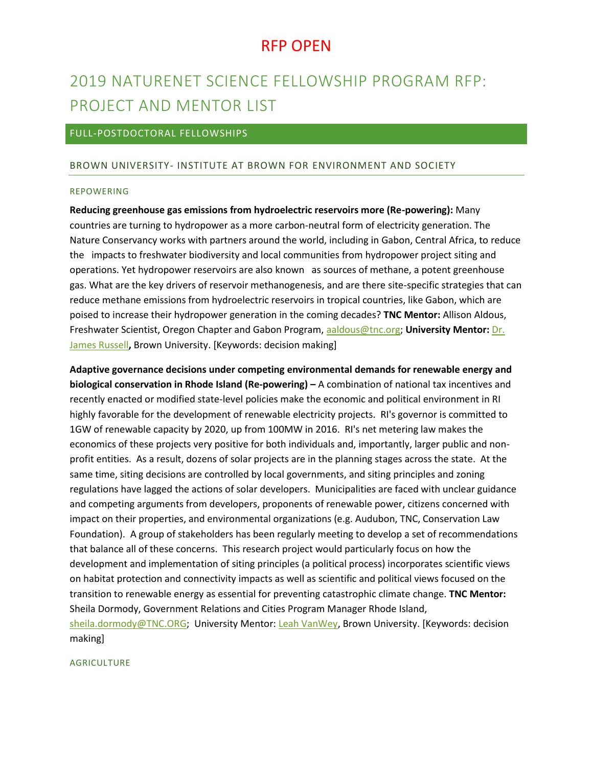# 2019 NATURENET SCIENCE FELLOWSHIP PROGRAM RFP: PROJECT AND MENTOR LIST

## FULL-POSTDOCTORAL FELLOWSHIPS

### BROWN UNIVERSITY- INSTITUTE AT BROWN FOR ENVIRONMENT AND SOCIETY

#### REPOWERING

**Reducing greenhouse gas emissions from hydroelectric reservoirs more (Re-powering):** Many countries are turning to hydropower as a more carbon-neutral form of electricity generation. The Nature Conservancy works with partners around the world, including in Gabon, Central Africa, to reduce the impacts to freshwater biodiversity and local communities from hydropower project siting and operations. Yet hydropower reservoirs are also known as sources of methane, a potent greenhouse gas. What are the key drivers of reservoir methanogenesis, and are there site-specific strategies that can reduce methane emissions from hydroelectric reservoirs in tropical countries, like Gabon, which are poised to increase their hydropower generation in the coming decades? **TNC Mentor:** Allison Aldous, Freshwater Scientist, Oregon Chapter and Gabon Program, [aaldous@tnc.org;](mailto:aaldous@tnc.org) **University Mentor:** [Dr.](https://www.brown.edu/academics/institute-environment-society/people/details/james-russell)  [James Russell](https://www.brown.edu/academics/institute-environment-society/people/details/james-russell)**,** Brown University. [Keywords: decision making]

**Adaptive governance decisions under competing environmental demands for renewable energy and biological conservation in Rhode Island (Re-powering) –** A combination of national tax incentives and recently enacted or modified state-level policies make the economic and political environment in RI highly favorable for the development of renewable electricity projects. RI's governor is committed to 1GW of renewable capacity by 2020, up from 100MW in 2016. RI's net metering law makes the economics of these projects very positive for both individuals and, importantly, larger public and nonprofit entities. As a result, dozens of solar projects are in the planning stages across the state. At the same time, siting decisions are controlled by local governments, and siting principles and zoning regulations have lagged the actions of solar developers. Municipalities are faced with unclear guidance and competing arguments from developers, proponents of renewable power, citizens concerned with impact on their properties, and environmental organizations (e.g. Audubon, TNC, Conservation Law Foundation). A group of stakeholders has been regularly meeting to develop a set of recommendations that balance all of these concerns. This research project would particularly focus on how the development and implementation of siting principles (a political process) incorporates scientific views on habitat protection and connectivity impacts as well as scientific and political views focused on the transition to renewable energy as essential for preventing catastrophic climate change. **TNC Mentor:** Sheila Dormody, Government Relations and Cities Program Manager Rhode Island, [sheila.dormody@TNC.ORG;](mailto:sheila.dormody@TNC.ORG) University Mentor[: Leah VanWey,](https://www.brown.edu/academics/sociology/leah-vanwey) Brown University. [Keywords: decision making]

### **AGRICULTURE**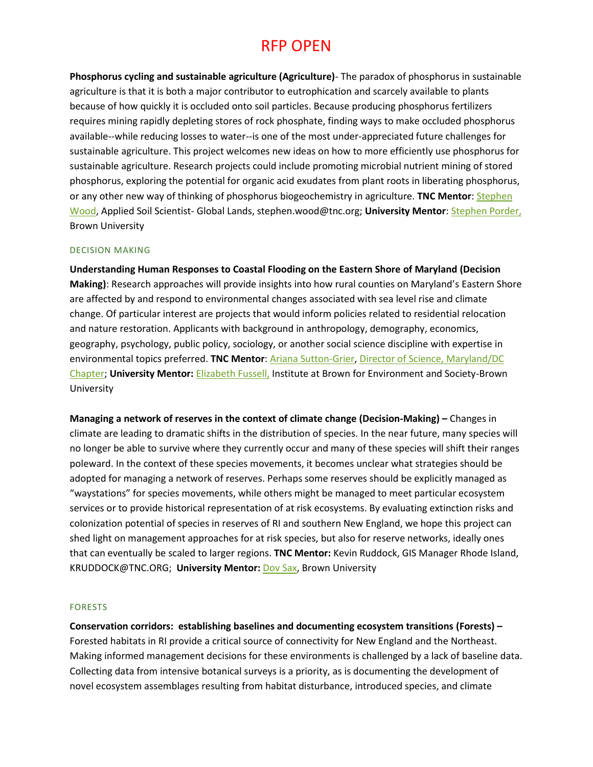**Phosphorus cycling and sustainable agriculture (Agriculture)**- The paradox of phosphorus in sustainable agriculture is that it is both a major contributor to eutrophication and scarcely available to plants because of how quickly it is occluded onto soil particles. Because producing phosphorus fertilizers requires mining rapidly depleting stores of rock phosphate, finding ways to make occluded phosphorus available--while reducing losses to water--is one of the most under-appreciated future challenges for sustainable agriculture. This project welcomes new ideas on how to more efficiently use phosphorus for sustainable agriculture. Research projects could include promoting microbial nutrient mining of stored phosphorus, exploring the potential for organic acid exudates from plant roots in liberating phosphorus, or any other new way of thinking of phosphorus biogeochemistry in agriculture. **TNC Mentor**: [Stephen](https://www.nature.org/science-in-action/our-scientists/stephen-wood.xml)  [Wood,](https://www.nature.org/science-in-action/our-scientists/stephen-wood.xml) Applied Soil Scientist- Global Lands, stephen.wood@tnc.org; **University Mentor**: [Stephen Porder,](http://www.porderlab.org/?page_id=14) Brown University

### DECISION MAKING

**Understanding Human Responses to Coastal Flooding on the Eastern Shore of Maryland (Decision Making)**: Research approaches will provide insights into how rural counties on Maryland's Eastern Shore are affected by and respond to environmental changes associated with sea level rise and climate change. Of particular interest are projects that would inform policies related to residential relocation and nature restoration. Applicants with background in anthropology, demography, economics, geography, psychology, public policy, sociology, or another social science discipline with expertise in environmental topics preferred. **TNC Mentor**[: Ariana Sutton-Grier,](mailto:a.sutton-grier@tnc.org) [Director of Science, Maryland/DC](https://www.nature.org/ourinitiatives/regions/northamerica/unitedstates/maryland_dc/experts/ariana-sutton-grier-qanda.xml)  [Chapter;](https://www.nature.org/ourinitiatives/regions/northamerica/unitedstates/maryland_dc/experts/ariana-sutton-grier-qanda.xml) **University Mentor:** [Elizabeth Fussell,](https://www.brown.edu/academics/institute-environment-society/people/details/elizabeth-fussell) Institute at Brown for Environment and Society-Brown University

**Managing a network of reserves in the context of climate change (Decision-Making) –** Changes in climate are leading to dramatic shifts in the distribution of species. In the near future, many species will no longer be able to survive where they currently occur and many of these species will shift their ranges poleward. In the context of these species movements, it becomes unclear what strategies should be adopted for managing a network of reserves. Perhaps some reserves should be explicitly managed as "waystations" for species movements, while others might be managed to meet particular ecosystem services or to provide historical representation of at risk ecosystems. By evaluating extinction risks and colonization potential of species in reserves of RI and southern New England, we hope this project can shed light on management approaches for at risk species, but also for reserve networks, ideally ones that can eventually be scaled to larger regions. **TNC Mentor:** Kevin Ruddock, GIS Manager Rhode Island, KRUDDOCK@TNC.ORG; **University Mentor:** [Dov Sax,](https://www.brown.edu/academics/institute-environment-society/people/details/dov-sax) Brown University

### FORESTS

**Conservation corridors: establishing baselines and documenting ecosystem transitions (Forests) –** Forested habitats in RI provide a critical source of connectivity for New England and the Northeast. Making informed management decisions for these environments is challenged by a lack of baseline data. Collecting data from intensive botanical surveys is a priority, as is documenting the development of novel ecosystem assemblages resulting from habitat disturbance, introduced species, and climate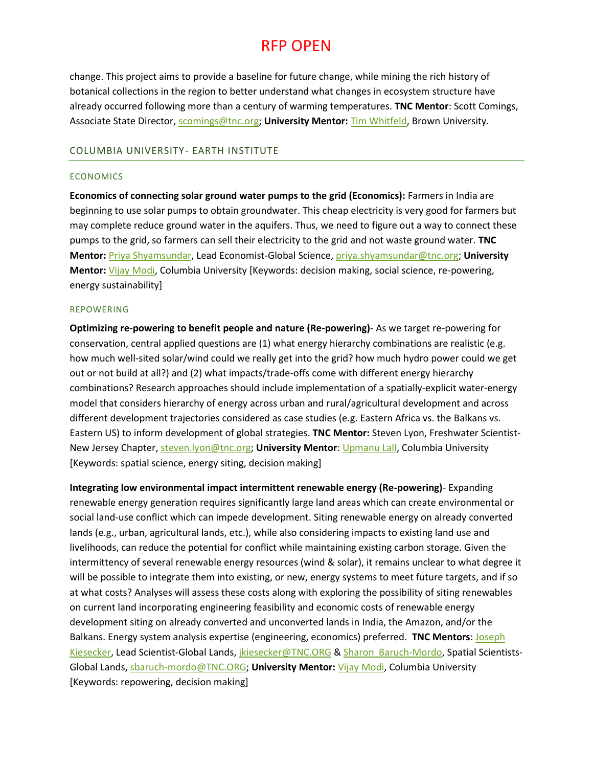change. This project aims to provide a baseline for future change, while mining the rich history of botanical collections in the region to better understand what changes in ecosystem structure have already occurred following more than a century of warming temperatures. **TNC Mentor**: Scott Comings, Associate State Director, [scomings@tnc.org;](mailto:scomings@tnc.org) **University Mentor:** [Tim Whitfeld,](https://vivo.brown.edu/display/twhitfel) Brown University.

#### COLUMBIA UNIVERSITY- EARTH INSTITUTE

#### **ECONOMICS**

**Economics of connecting solar ground water pumps to the grid (Economics):** Farmers in India are beginning to use solar pumps to obtain groundwater. This cheap electricity is very good for farmers but may complete reduce ground water in the aquifers. Thus, we need to figure out a way to connect these pumps to the grid, so farmers can sell their electricity to the grid and not waste ground water. **TNC Mentor:** [Priya Shyamsundar,](https://www.nature.org/science-in-action/our-scientists/priya-shyamsundar.xml) Lead Economist-Global Science[, priya.shyamsundar@tnc.org;](mailto:priya.shyamsundar@tnc.org) **University Mentor:** [Vijay Modi,](http://me.columbia.edu/vijay-modi-0) Columbia University [Keywords: decision making, social science, re-powering, energy sustainability]

### REPOWERING

**Optimizing re-powering to benefit people and nature (Re-powering)**- As we target re-powering for conservation, central applied questions are (1) what energy hierarchy combinations are realistic (e.g. how much well-sited solar/wind could we really get into the grid? how much hydro power could we get out or not build at all?) and (2) what impacts/trade-offs come with different energy hierarchy combinations? Research approaches should include implementation of a spatially-explicit water-energy model that considers hierarchy of energy across urban and rural/agricultural development and across different development trajectories considered as case studies (e.g. Eastern Africa vs. the Balkans vs. Eastern US) to inform development of global strategies. **TNC Mentor:** Steven Lyon, Freshwater Scientist-New Jersey Chapter, [steven.lyon@tnc.org;](mailto:steven.lyon@tnc.org) **University Mentor**[: Upmanu Lall,](http://www.columbia.edu/~ula2/) Columbia University [Keywords: spatial science, energy siting, decision making]

**Integrating low environmental impact intermittent renewable energy (Re-powering)**- Expanding renewable energy generation requires significantly large land areas which can create environmental or social land-use conflict which can impede development. Siting renewable energy on already converted lands (e.g., urban, agricultural lands, etc.), while also considering impacts to existing land use and livelihoods, can reduce the potential for conflict while maintaining existing carbon storage. Given the intermittency of several renewable energy resources (wind & solar), it remains unclear to what degree it will be possible to integrate them into existing, or new, energy systems to meet future targets, and if so at what costs? Analyses will assess these costs along with exploring the possibility of siting renewables on current land incorporating engineering feasibility and economic costs of renewable energy development siting on already converted and unconverted lands in India, the Amazon, and/or the Balkans. Energy system analysis expertise (engineering, economics) preferred. **TNC Mentors**: [Joseph](https://www.nature.org/newsfeatures/pressreleases/media/nature-conservancy-experts-conservation-lands-joe-kiesecker.xml)  [Kiesecker,](https://www.nature.org/newsfeatures/pressreleases/media/nature-conservancy-experts-conservation-lands-joe-kiesecker.xml) Lead Scientist-Global Lands, *jkiesecker@TNC.ORG & Sharon Baruch-Mordo*, Spatial Scientists-Global Lands[, sbaruch-mordo@TNC.ORG;](mailto:sbaruch-mordo@TNC.ORG) **University Mentor:** [Vijay Modi,](http://me.columbia.edu/vijay-modi-0) Columbia University [Keywords: repowering, decision making]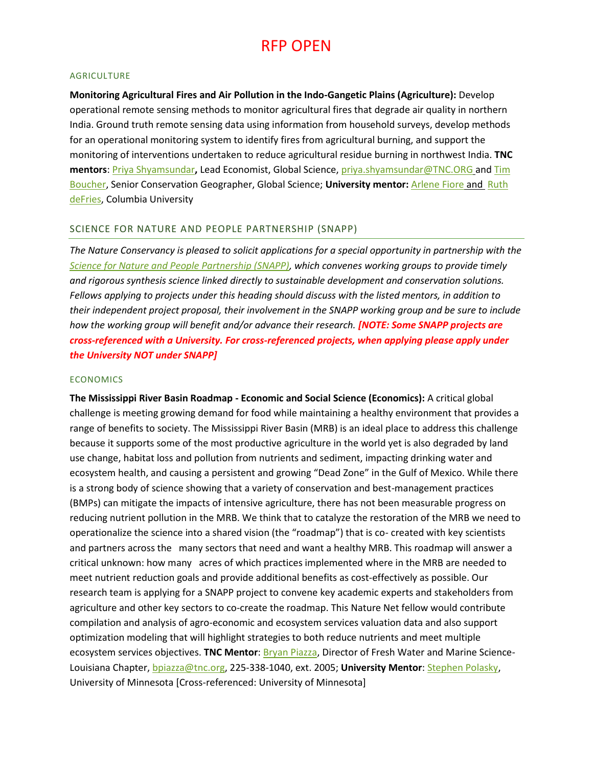#### AGRICULTURE

**Monitoring Agricultural Fires and Air Pollution in the Indo-Gangetic Plains (Agriculture):** Develop operational remote sensing methods to monitor agricultural fires that degrade air quality in northern India. Ground truth remote sensing data using information from household surveys, develop methods for an operational monitoring system to identify fires from agricultural burning, and support the monitoring of interventions undertaken to reduce agricultural residue burning in northwest India. **TNC mentors**: [Priya Shyamsundar](https://www.nature.org/science-in-action/our-scientists/priya-shyamsundar.xml)**,** Lead Economist, Global Science, [priya.shyamsundar@TNC.ORG](mailto:priya.shyamsundar@TNC.ORG) and [Tim](https://www.nature.org/science-in-action/our-scientists/tim-boucher.xml)  [Boucher,](https://www.nature.org/science-in-action/our-scientists/tim-boucher.xml) Senior Conservation Geographer, Global Science; **University mentor:** [Arlene Fiore](http://eesc.columbia.edu/faculty/arlene-m-fiore) and [Ruth](http://e3b.columbia.edu/faculty/ruth-defries/)  [deFries,](http://e3b.columbia.edu/faculty/ruth-defries/) Columbia University

### SCIENCE FOR NATURE AND PEOPLE PARTNERSHIP (SNAPP)

*The Nature Conservancy is pleased to solicit applications for a special opportunity in partnership with the [Science for Nature and People Partnership \(SNAPP\),](https://snappartnership.net/) which convenes working groups to provide timely and rigorous synthesis science linked directly to sustainable development and conservation solutions. Fellows applying to projects under this heading should discuss with the listed mentors, in addition to their independent project proposal, their involvement in the SNAPP working group and be sure to include how the working group will benefit and/or advance their research. [NOTE: Some SNAPP projects are cross-referenced with a University. For cross-referenced projects, when applying please apply under the University NOT under SNAPP]*

### ECONOMICS

**The Mississippi River Basin Roadmap - Economic and Social Science (Economics):** A critical global challenge is meeting growing demand for food while maintaining a healthy environment that provides a range of benefits to society. The Mississippi River Basin (MRB) is an ideal place to address this challenge because it supports some of the most productive agriculture in the world yet is also degraded by land use change, habitat loss and pollution from nutrients and sediment, impacting drinking water and ecosystem health, and causing a persistent and growing "Dead Zone" in the Gulf of Mexico. While there is a strong body of science showing that a variety of conservation and best-management practices (BMPs) can mitigate the impacts of intensive agriculture, there has not been measurable progress on reducing nutrient pollution in the MRB. We think that to catalyze the restoration of the MRB we need to operationalize the science into a shared vision (the "roadmap") that is co- created with key scientists and partners across the many sectors that need and want a healthy MRB. This roadmap will answer a critical unknown: how many acres of which practices implemented where in the MRB are needed to meet nutrient reduction goals and provide additional benefits as cost-effectively as possible. Our research team is applying for a SNAPP project to convene key academic experts and stakeholders from agriculture and other key sectors to co-create the roadmap. This Nature Net fellow would contribute compilation and analysis of agro-economic and ecosystem services valuation data and also support optimization modeling that will highlight strategies to both reduce nutrients and meet multiple ecosystem services objectives. **TNC Mentor**[: Bryan Piazza,](https://www.nature.org/science-in-action/our-scientists/bryan-p-piazza.xml) Director of Fresh Water and Marine Science-Louisiana Chapter, [bpiazza@tnc.org,](mailto:bpiazza@tnc.org) 225-338-1040, ext. 2005; **University Mentor**: [Stephen Polasky,](https://cbs.umn.edu/contacts/steve-polasky) University of Minnesota [Cross-referenced: University of Minnesota]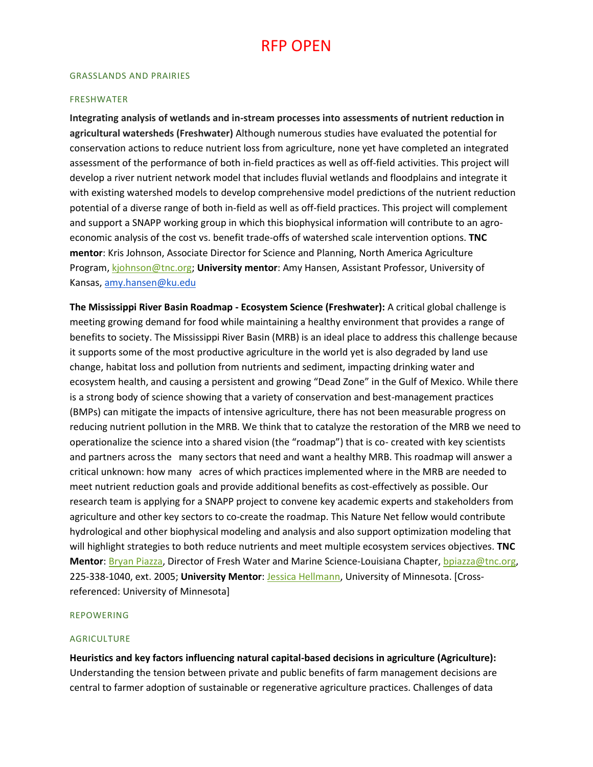#### GRASSLANDS AND PRAIRIES

#### FRESHWATER

**Integrating analysis of wetlands and in-stream processes into assessments of nutrient reduction in agricultural watersheds (Freshwater)** Although numerous studies have evaluated the potential for conservation actions to reduce nutrient loss from agriculture, none yet have completed an integrated assessment of the performance of both in-field practices as well as off-field activities. This project will develop a river nutrient network model that includes fluvial wetlands and floodplains and integrate it with existing watershed models to develop comprehensive model predictions of the nutrient reduction potential of a diverse range of both in-field as well as off-field practices. This project will complement and support a SNAPP working group in which this biophysical information will contribute to an agroeconomic analysis of the cost vs. benefit trade-offs of watershed scale intervention options. **TNC mentor**: Kris Johnson, Associate Director for Science and Planning, North America Agriculture Program, [kjohnson@tnc.org;](mailto:kjohnson@tnc.org) **University mentor**: Amy Hansen, Assistant Professor, University of Kansas, [amy.hansen@ku.edu](mailto:amy.hansen@ku.edu)

**The Mississippi River Basin Roadmap - Ecosystem Science (Freshwater):** A critical global challenge is meeting growing demand for food while maintaining a healthy environment that provides a range of benefits to society. The Mississippi River Basin (MRB) is an ideal place to address this challenge because it supports some of the most productive agriculture in the world yet is also degraded by land use change, habitat loss and pollution from nutrients and sediment, impacting drinking water and ecosystem health, and causing a persistent and growing "Dead Zone" in the Gulf of Mexico. While there is a strong body of science showing that a variety of conservation and best-management practices (BMPs) can mitigate the impacts of intensive agriculture, there has not been measurable progress on reducing nutrient pollution in the MRB. We think that to catalyze the restoration of the MRB we need to operationalize the science into a shared vision (the "roadmap") that is co- created with key scientists and partners across the many sectors that need and want a healthy MRB. This roadmap will answer a critical unknown: how many acres of which practices implemented where in the MRB are needed to meet nutrient reduction goals and provide additional benefits as cost-effectively as possible. Our research team is applying for a SNAPP project to convene key academic experts and stakeholders from agriculture and other key sectors to co-create the roadmap. This Nature Net fellow would contribute hydrological and other biophysical modeling and analysis and also support optimization modeling that will highlight strategies to both reduce nutrients and meet multiple ecosystem services objectives. **TNC Mentor**: [Bryan Piazza,](https://www.nature.org/science-in-action/our-scientists/bryan-p-piazza.xml) Director of Fresh Water and Marine Science-Louisiana Chapter[, bpiazza@tnc.org,](mailto:bpiazza@tnc.org) 225-338-1040, ext. 2005; **University Mentor**: [Jessica Hellmann,](http://environment.umn.edu/staff/jessica-hellmann/) University of Minnesota. [Crossreferenced: University of Minnesota]

#### REPOWERING

#### AGRICULTURE

**Heuristics and key factors influencing natural capital-based decisions in agriculture (Agriculture):** Understanding the tension between private and public benefits of farm management decisions are central to farmer adoption of sustainable or regenerative agriculture practices. Challenges of data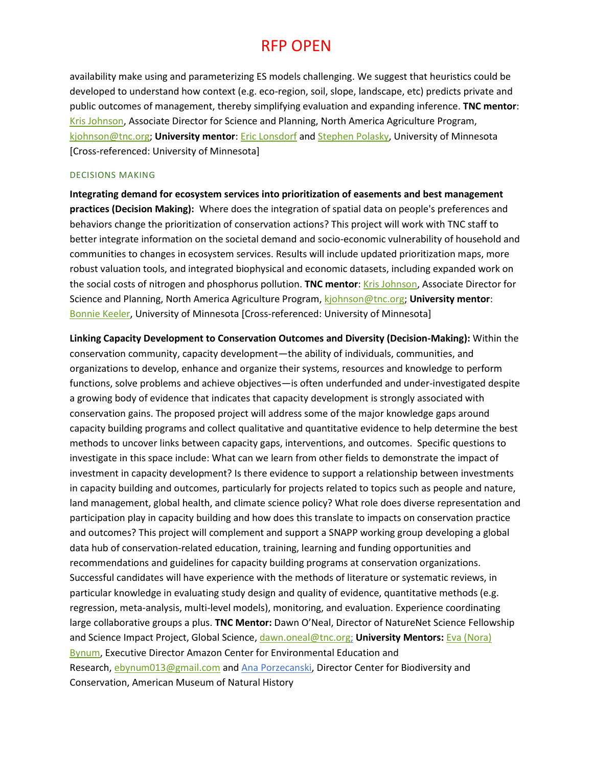availability make using and parameterizing ES models challenging. We suggest that heuristics could be developed to understand how context (e.g. eco-region, soil, slope, landscape, etc) predicts private and public outcomes of management, thereby simplifying evaluation and expanding inference. **TNC mentor**: [Kris Johnson,](https://www.nature.org/ourinitiatives/urgentissues/land-conservation/global-agriculture/north-america-agriculture-kris-johnson.xml) Associate Director for Science and Planning, North America Agriculture Program, [kjohnson@tnc.org;](mailto:kjohnson@tnc.org) **University mentor**[: Eric Lonsdorf](http://environment.umn.edu/staff/eric-lonsdorf/) and [Stephen](https://cbs.umn.edu/contacts/steve-polasky) Polasky, University of Minnesota [Cross-referenced: University of Minnesota]

### DECISIONS MAKING

**Integrating demand for ecosystem services into prioritization of easements and best management practices (Decision Making):** Where does the integration of spatial data on people's preferences and behaviors change the prioritization of conservation actions? This project will work with TNC staff to better integrate information on the societal demand and socio-economic vulnerability of household and communities to changes in ecosystem services. Results will include updated prioritization maps, more robust valuation tools, and integrated biophysical and economic datasets, including expanded work on the social costs of nitrogen and phosphorus pollution. **TNC mentor: Kris Johnson**, Associate Director for Science and Planning, North America Agriculture Program, [kjohnson@tnc.org;](mailto:kjohnson@tnc.org) **University mentor**: [Bonnie Keeler,](https://twin-cities.umn.edu/content/bonnie-keeler) University of Minnesota [Cross-referenced: University of Minnesota]

**Linking Capacity Development to Conservation Outcomes and Diversity (Decision-Making):** Within the conservation community, capacity development—the ability of individuals, communities, and organizations to develop, enhance and organize their systems, resources and knowledge to perform functions, solve problems and achieve objectives—is often underfunded and under-investigated despite a growing body of evidence that indicates that capacity development is strongly associated with conservation gains. The proposed project will address some of the major knowledge gaps around capacity building programs and collect qualitative and quantitative evidence to help determine the best methods to uncover links between capacity gaps, interventions, and outcomes. Specific questions to investigate in this space include: What can we learn from other fields to demonstrate the impact of investment in capacity development? Is there evidence to support a relationship between investments in capacity building and outcomes, particularly for projects related to topics such as people and nature, land management, global health, and climate science policy? What role does diverse representation and participation play in capacity building and how does this translate to impacts on conservation practice and outcomes? This project will complement and support a SNAPP working group developing a global data hub of conservation-related education, training, learning and funding opportunities and recommendations and guidelines for capacity building programs at conservation organizations. Successful candidates will have experience with the methods of literature or systematic reviews, in particular knowledge in evaluating study design and quality of evidence, quantitative methods (e.g. regression, meta-analysis, multi-level models), monitoring, and evaluation. Experience coordinating large collaborative groups a plus. **TNC Mentor:** Dawn O'Neal, Director of NatureNet Science Fellowship and Science Impact Project, Global Science, [dawn.oneal@tnc.org;](mailto:dawn.oneal@tnc.org) **University Mentors:** [Eva \(Nora\)](http://www.aceer.org/)  [Bynum,](http://www.aceer.org/) Executive Director Amazon Center for Environmental Education and Research, [ebynum013@gmail.com](mailto:ebynum013@gmail.com) and [Ana Porzecanski,](https://na01.safelinks.protection.outlook.com/?url=https%3A%2F%2Fwww.amnh.org%2Four-research%2Fstaff-directory%2Fana-luz-porzecanski%2F&data=01%7C01%7Calporze%40amnh.org%7C9d99acc660f4449ca40a08d5e01bb712%7Cbe0003e8c6b9496883aeb34586974b76%7C0&sdata=oTMrnsZYQCAFN4ThjsjvEVf9FeJeIiwQimDzw31iSZ0%3D&reserved=0) Director Center for Biodiversity and Conservation, American Museum of Natural History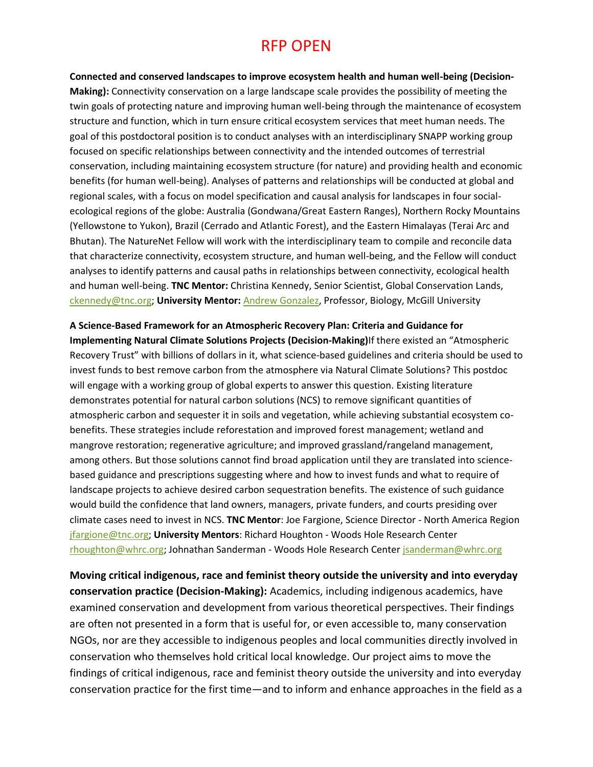**Connected and conserved landscapes to improve ecosystem health and human well-being (Decision-Making):** Connectivity conservation on a large landscape scale provides the possibility of meeting the twin goals of protecting nature and improving human well-being through the maintenance of ecosystem structure and function, which in turn ensure critical ecosystem services that meet human needs. The goal of this postdoctoral position is to conduct analyses with an interdisciplinary SNAPP working group focused on specific relationships between connectivity and the intended outcomes of terrestrial conservation, including maintaining ecosystem structure (for nature) and providing health and economic benefits (for human well-being). Analyses of patterns and relationships will be conducted at global and regional scales, with a focus on model specification and causal analysis for landscapes in four socialecological regions of the globe: Australia (Gondwana/Great Eastern Ranges), Northern Rocky Mountains (Yellowstone to Yukon), Brazil (Cerrado and Atlantic Forest), and the Eastern Himalayas (Terai Arc and Bhutan). The NatureNet Fellow will work with the interdisciplinary team to compile and reconcile data that characterize connectivity, ecosystem structure, and human well-being, and the Fellow will conduct analyses to identify patterns and causal paths in relationships between connectivity, ecological health and human well-being. **TNC Mentor:** Christina Kennedy, Senior Scientist, Global Conservation Lands, [ckennedy@tnc.org;](mailto:ckennedy@tnc.org) **University Mentor:** [Andrew Gonzalez,](https://www.mcgill.ca/mssi/andrew-gonzalez) Professor, Biology, McGill University

**A Science-Based Framework for an Atmospheric Recovery Plan: Criteria and Guidance for Implementing Natural Climate Solutions Projects (Decision-Making)**If there existed an "Atmospheric Recovery Trust" with billions of dollars in it, what science-based guidelines and criteria should be used to invest funds to best remove carbon from the atmosphere via Natural Climate Solutions? This postdoc will engage with a working group of global experts to answer this question. Existing literature demonstrates potential for natural carbon solutions (NCS) to remove significant quantities of atmospheric carbon and sequester it in soils and vegetation, while achieving substantial ecosystem cobenefits. These strategies include reforestation and improved forest management; wetland and mangrove restoration; regenerative agriculture; and improved grassland/rangeland management, among others. But those solutions cannot find broad application until they are translated into sciencebased guidance and prescriptions suggesting where and how to invest funds and what to require of landscape projects to achieve desired carbon sequestration benefits. The existence of such guidance would build the confidence that land owners, managers, private funders, and courts presiding over climate cases need to invest in NCS. **TNC Mentor**: Joe Fargione, Science Director - North America Region [jfargione@tnc.org;](mailto:jfargione@tnc.org) **University Mentors**: Richard Houghton - Woods Hole Research Center [rhoughton@whrc.org;](mailto:rhoughton@whrc.org) Johnathan Sanderman - Woods Hole Research Center [jsanderman@whrc.org](mailto:jsanderman@whrc.org)

**Moving critical indigenous, race and feminist theory outside the university and into everyday conservation practice (Decision-Making):** Academics, including indigenous academics, have examined conservation and development from various theoretical perspectives. Their findings are often not presented in a form that is useful for, or even accessible to, many conservation NGOs, nor are they accessible to indigenous peoples and local communities directly involved in conservation who themselves hold critical local knowledge. Our project aims to move the findings of critical indigenous, race and feminist theory outside the university and into everyday conservation practice for the first time—and to inform and enhance approaches in the field as a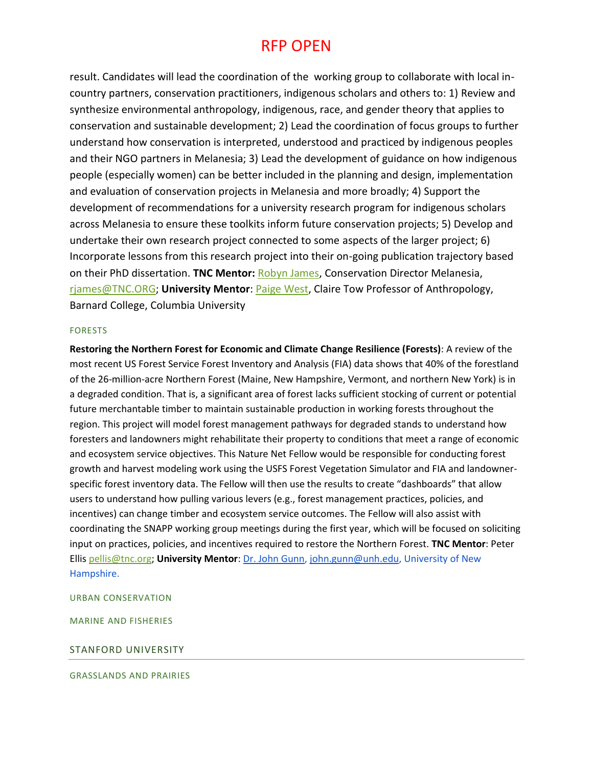result. Candidates will lead the coordination of the working group to collaborate with local incountry partners, conservation practitioners, indigenous scholars and others to: 1) Review and synthesize environmental anthropology, indigenous, race, and gender theory that applies to conservation and sustainable development; 2) Lead the coordination of focus groups to further understand how conservation is interpreted, understood and practiced by indigenous peoples and their NGO partners in Melanesia; 3) Lead the development of guidance on how indigenous people (especially women) can be better included in the planning and design, implementation and evaluation of conservation projects in Melanesia and more broadly; 4) Support the development of recommendations for a university research program for indigenous scholars across Melanesia to ensure these toolkits inform future conservation projects; 5) Develop and undertake their own research project connected to some aspects of the larger project; 6) Incorporate lessons from this research project into their on-going publication trajectory based on their PhD dissertation. **TNC Mentor:** [Robyn James,](https://www.nature.org/science-in-action/leading-with-science/robyn-james.xml) Conservation Director Melanesia, [rjames@TNC.ORG;](mailto:rjames@TNC.ORG) **University Mentor**: [Paige West,](https://barnard.edu/profiles/paige-west) Claire Tow Professor of Anthropology, Barnard College, Columbia University

### FORESTS

**Restoring the Northern Forest for Economic and Climate Change Resilience (Forests)**: A review of the most recent US Forest Service Forest Inventory and Analysis (FIA) data shows that 40% of the forestland of the 26-million-acre Northern Forest (Maine, New Hampshire, Vermont, and northern New York) is in a degraded condition. That is, a significant area of forest lacks sufficient stocking of current or potential future merchantable timber to maintain sustainable production in working forests throughout the region. This project will model forest management pathways for degraded stands to understand how foresters and landowners might rehabilitate their property to conditions that meet a range of economic and ecosystem service objectives. This Nature Net Fellow would be responsible for conducting forest growth and harvest modeling work using the USFS Forest Vegetation Simulator and FIA and landownerspecific forest inventory data. The Fellow will then use the results to create "dashboards" that allow users to understand how pulling various levers (e.g., forest management practices, policies, and incentives) can change timber and ecosystem service outcomes. The Fellow will also assist with coordinating the SNAPP working group meetings during the first year, which will be focused on soliciting input on practices, policies, and incentives required to restore the Northern Forest. **TNC Mentor**: Peter Elli[s pellis@tnc.org;](mailto:pellis@tnc.org) **University Mentor**: [Dr. John Gunn,](https://protect-us.mimecast.com/s/nHV4CM8KXjIxXzrRtwUIgO?domain=mypages.unh.edu) [john.gunn@unh.edu,](mailto:john.gunn@unh.edu) University of New Hampshire.

URBAN CONSERVATION

MARINE AND FISHERIES

#### STANFORD UNIVERSITY

#### GRASSLANDS AND PRAIRIES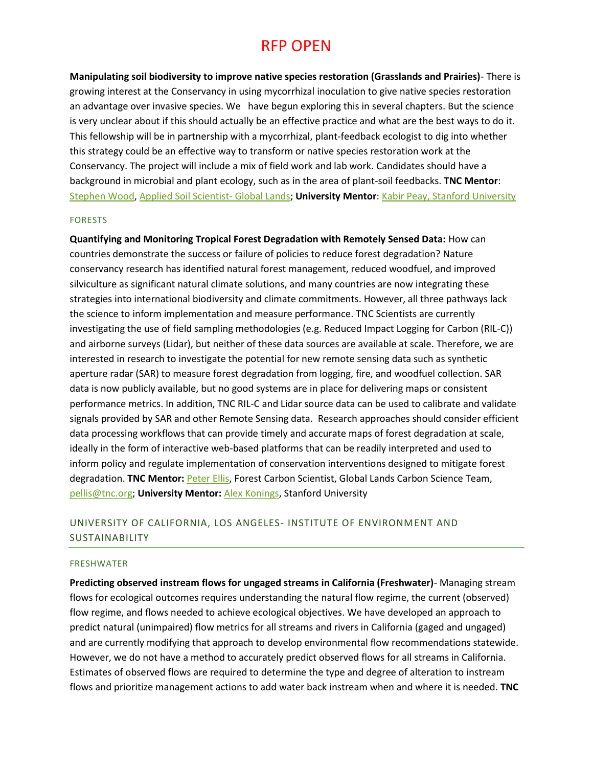**Manipulating soil biodiversity to improve native species restoration (Grasslands and Prairies)**- There is growing interest at the Conservancy in using mycorrhizal inoculation to give native species restoration an advantage over invasive species. We have begun exploring this in several chapters. But the science is very unclear about if this should actually be an effective practice and what are the best ways to do it. This fellowship will be in partnership with a mycorrhizal, plant-feedback ecologist to dig into whether this strategy could be an effective way to transform or native species restoration work at the Conservancy. The project will include a mix of field work and lab work. Candidates should have a background in microbial and plant ecology, such as in the area of plant-soil feedbacks. **TNC Mentor**: [Stephen Wood,](mailto:stephen.wood@tnc.org) [Applied Soil Scientist-](https://www.nature.org/science-in-action/our-scientists/stephen-wood.xml) Global Lands; **University Mentor**: [Kabir Peay, Stanford University](https://profiles.stanford.edu/kabir-peay)

#### FORESTS

**Quantifying and Monitoring Tropical Forest Degradation with Remotely Sensed Data:** How can countries demonstrate the success or failure of policies to reduce forest degradation? Nature conservancy research has identified natural forest management, reduced woodfuel, and improved silviculture as significant natural climate solutions, and many countries are now integrating these strategies into international biodiversity and climate commitments. However, all three pathways lack the science to inform implementation and measure performance. TNC Scientists are currently investigating the use of field sampling methodologies (e.g. Reduced Impact Logging for Carbon (RIL-C)) and airborne surveys (Lidar), but neither of these data sources are available at scale. Therefore, we are interested in research to investigate the potential for new remote sensing data such as synthetic aperture radar (SAR) to measure forest degradation from logging, fire, and woodfuel collection. SAR data is now publicly available, but no good systems are in place for delivering maps or consistent performance metrics. In addition, TNC RIL-C and Lidar source data can be used to calibrate and validate signals provided by SAR and other Remote Sensing data. Research approaches should consider efficient data processing workflows that can provide timely and accurate maps of forest degradation at scale, ideally in the form of interactive web-based platforms that can be readily interpreted and used to inform policy and regulate implementation of conservation interventions designed to mitigate forest degradation. **TNC Mentor:** [Peter Ellis,](https://blog.nature.org/science/profiles/peter-ellis/) Forest Carbon Scientist, Global Lands Carbon Science Team, [pellis@tnc.org;](mailto:pellis@tnc.org) **University Mentor:** [Alex Konings,](https://profiles.stanford.edu/alexandra-konings) Stanford University

## UNIVERSITY OF CALIFORNIA, LOS ANGELES- INSTITUTE OF ENVIRONMENT AND SUSTAINABILITY

#### FRESHWATER

**Predicting observed instream flows for ungaged streams in California (Freshwater)**- Managing stream flows for ecological outcomes requires understanding the natural flow regime, the current (observed) flow regime, and flows needed to achieve ecological objectives. We have developed an approach to predict natural (unimpaired) flow metrics for all streams and rivers in California (gaged and ungaged) and are currently modifying that approach to develop environmental flow recommendations statewide. However, we do not have a method to accurately predict observed flows for all streams in California. Estimates of observed flows are required to determine the type and degree of alteration to instream flows and prioritize management actions to add water back instream when and where it is needed. **TNC**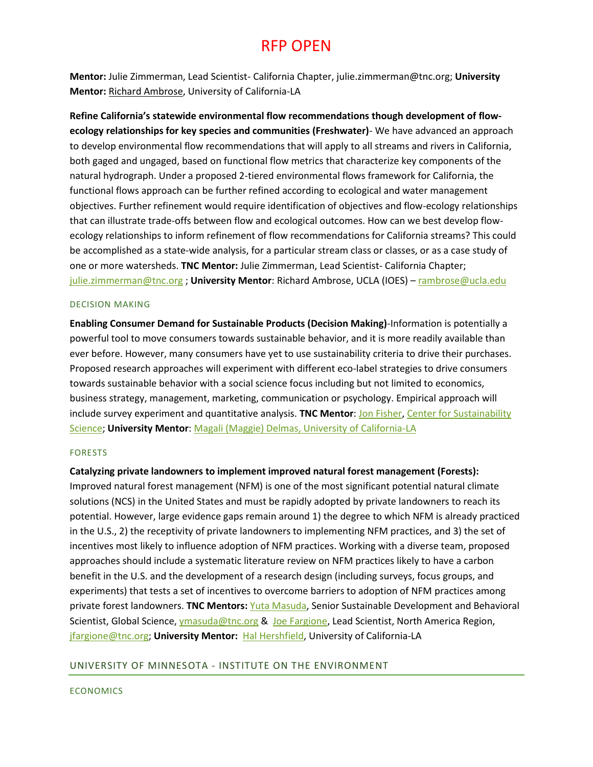**Mentor:** Julie Zimmerman, Lead Scientist- California Chapter, julie.zimmerman@tnc.org; **University Mentor:** [Richard Ambrose,](https://www.ioes.ucla.edu/person/richard-ambrose/) University of California-LA

**Refine California's statewide environmental flow recommendations though development of flowecology relationships for key species and communities (Freshwater)**- We have advanced an approach to develop environmental flow recommendations that will apply to all streams and rivers in California, both gaged and ungaged, based on functional flow metrics that characterize key components of the natural hydrograph. Under a proposed 2-tiered environmental flows framework for California, the functional flows approach can be further refined according to ecological and water management objectives. Further refinement would require identification of objectives and flow-ecology relationships that can illustrate trade-offs between flow and ecological outcomes. How can we best develop flowecology relationships to inform refinement of flow recommendations for California streams? This could be accomplished as a state-wide analysis, for a particular stream class or classes, or as a case study of one or more watersheds. **TNC Mentor:** Julie Zimmerman, Lead Scientist- California Chapter; [julie.zimmerman@tnc.org](mailto:julie.zimmerman@tnc.org) ; **University Mentor**: Richard Ambrose, UCLA (IOES) – [rambrose@ucla.edu](mailto:rambrose@ucla.edu)

### DECISION MAKING

**Enabling Consumer Demand for Sustainable Products (Decision Making)**-Information is potentially a powerful tool to move consumers towards sustainable behavior, and it is more readily available than ever before. However, many consumers have yet to use sustainability criteria to drive their purchases. Proposed research approaches will experiment with different eco-label strategies to drive consumers towards sustainable behavior with a social science focus including but not limited to economics, business strategy, management, marketing, communication or psychology. Empirical approach will include survey experiment and quantitative analysis. **TNC Mentor**[: Jon Fisher,](mailto:jon_fisher@tnc.org) [Center for Sustainability](https://www.nature.org/science-in-action/our-scientists/jon-fisher.xml)  [Science;](https://www.nature.org/science-in-action/our-scientists/jon-fisher.xml) **University Mentor**: [Magali \(Maggie\) Delmas, University of California-LA](https://www.ioes.ucla.edu/person/magali-delmas/)

### FORESTS

### **Catalyzing private landowners to implement improved natural forest management (Forests):**

Improved natural forest management (NFM) is one of the most significant potential natural climate solutions (NCS) in the United States and must be rapidly adopted by private landowners to reach its potential. However, large evidence gaps remain around 1) the degree to which NFM is already practiced in the U.S., 2) the receptivity of private landowners to implementing NFM practices, and 3) the set of incentives most likely to influence adoption of NFM practices. Working with a diverse team, proposed approaches should include a systematic literature review on NFM practices likely to have a carbon benefit in the U.S. and the development of a research design (including surveys, focus groups, and experiments) that tests a set of incentives to overcome barriers to adoption of NFM practices among private forest landowners. **TNC Mentors:** [Yuta Masuda,](https://www.nature.org/science-in-action/our-scientists/yuta-masuda-bio.xml) Senior Sustainable Development and Behavioral Scientist, Global Science, *ymasuda@tnc.org & Joe Fargione*, Lead Scientist, North America Region, [jfargione@tnc.org;](mailto:jfargione@tnc.org) **University Mentor:** [Hal Hershfield,](http://www.anderson.ucla.edu/faculty-and-research/marketing/faculty/hershfield) University of California-LA

### UNIVERSITY OF MINNESOTA - INSTITUTE ON THE ENVIRONMENT

### **ECONOMICS**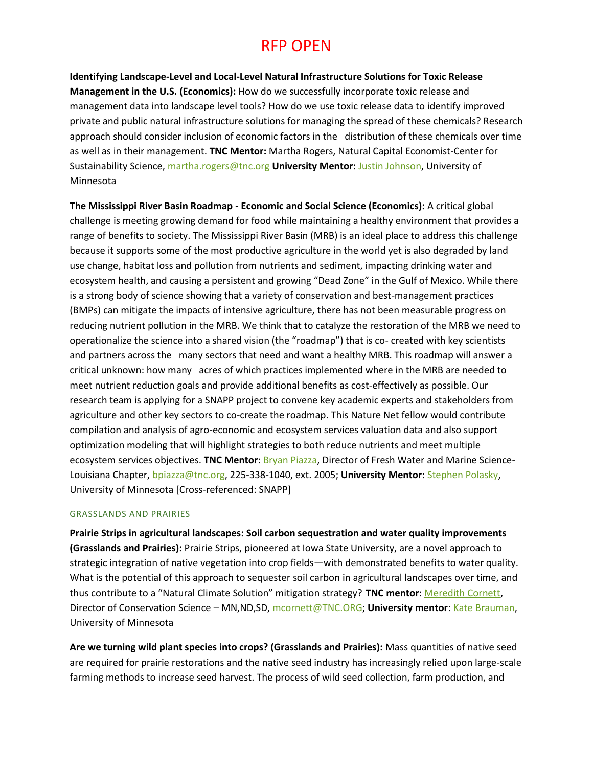**Identifying Landscape-Level and Local-Level Natural Infrastructure Solutions for Toxic Release Management in the U.S. (Economics):** How do we successfully incorporate toxic release and management data into landscape level tools? How do we use toxic release data to identify improved private and public natural infrastructure solutions for managing the spread of these chemicals? Research approach should consider inclusion of economic factors in the distribution of these chemicals over time as well as in their management. **TNC Mentor:** Martha Rogers, Natural Capital Economist-Center for Sustainability Science, [martha.rogers@tnc.org](mailto:martha.rogers@tnc.org) **University Mentor:** [Justin Johnson,](http://environment.umn.edu/staff/justin-johnson/) University of Minnesota

**The Mississippi River Basin Roadmap - Economic and Social Science (Economics):** A critical global challenge is meeting growing demand for food while maintaining a healthy environment that provides a range of benefits to society. The Mississippi River Basin (MRB) is an ideal place to address this challenge because it supports some of the most productive agriculture in the world yet is also degraded by land use change, habitat loss and pollution from nutrients and sediment, impacting drinking water and ecosystem health, and causing a persistent and growing "Dead Zone" in the Gulf of Mexico. While there is a strong body of science showing that a variety of conservation and best-management practices (BMPs) can mitigate the impacts of intensive agriculture, there has not been measurable progress on reducing nutrient pollution in the MRB. We think that to catalyze the restoration of the MRB we need to operationalize the science into a shared vision (the "roadmap") that is co- created with key scientists and partners across the many sectors that need and want a healthy MRB. This roadmap will answer a critical unknown: how many acres of which practices implemented where in the MRB are needed to meet nutrient reduction goals and provide additional benefits as cost-effectively as possible. Our research team is applying for a SNAPP project to convene key academic experts and stakeholders from agriculture and other key sectors to co-create the roadmap. This Nature Net fellow would contribute compilation and analysis of agro-economic and ecosystem services valuation data and also support optimization modeling that will highlight strategies to both reduce nutrients and meet multiple ecosystem services objectives. **TNC Mentor**[: Bryan Piazza,](https://www.nature.org/science-in-action/our-scientists/bryan-p-piazza.xml) Director of Fresh Water and Marine Science-Louisiana Chapter, [bpiazza@tnc.org,](mailto:bpiazza@tnc.org) 225-338-1040, ext. 2005; **University Mentor**: [Stephen Polasky,](https://cbs.umn.edu/contacts/steve-polasky) University of Minnesota [Cross-referenced: SNAPP]

### GRASSLANDS AND PRAIRIES

**Prairie Strips in agricultural landscapes: Soil carbon sequestration and water quality improvements (Grasslands and Prairies):** Prairie Strips, pioneered at Iowa State University, are a novel approach to strategic integration of native vegetation into crop fields—with demonstrated benefits to water quality. What is the potential of this approach to sequester soil carbon in agricultural landscapes over time, and thus contribute to a "Natural Climate Solution" mitigation strategy? **TNC mentor**: [Meredith Cornett,](https://www.nature.org/ourinitiatives/regions/northamerica/unitedstates/minnesota/howwework/meredith-cornett-enen.xml) Director of Conservation Science – MN,ND,SD[, mcornett@TNC.ORG;](mailto:mcornett@TNC.ORG) **University mentor**: [Kate Brauman,](http://environment.umn.edu/staff/kate-brauman/) University of Minnesota

**Are we turning wild plant species into crops? (Grasslands and Prairies):** Mass quantities of native seed are required for prairie restorations and the native seed industry has increasingly relied upon large-scale farming methods to increase seed harvest. The process of wild seed collection, farm production, and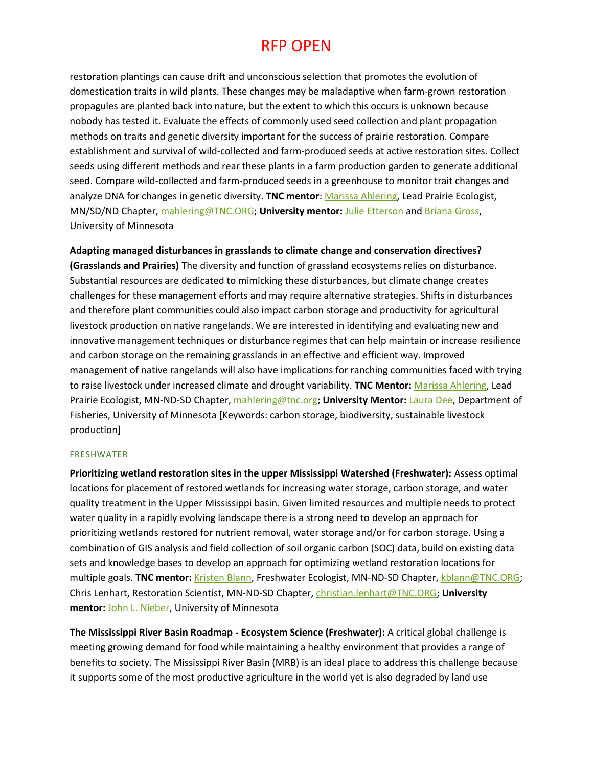restoration plantings can cause drift and unconscious selection that promotes the evolution of domestication traits in wild plants. These changes may be maladaptive when farm-grown restoration propagules are planted back into nature, but the extent to which this occurs is unknown because nobody has tested it. Evaluate the effects of commonly used seed collection and plant propagation methods on traits and genetic diversity important for the success of prairie restoration. Compare establishment and survival of wild-collected and farm-produced seeds at active restoration sites. Collect seeds using different methods and rear these plants in a farm production garden to generate additional seed. Compare wild-collected and farm-produced seeds in a greenhouse to monitor trait changes and analyze DNA for changes in genetic diversity. **TNC mentor**: [Marissa Ahlering,](https://www.nature.org/ourinitiatives/regions/northamerica/unitedstates/minnesota/explore/minnesota-prairie-ecologist-marissa-ahlering.xml) Lead Prairie Ecologist, MN/SD/ND Chapter, [mahlering@TNC.ORG;](mailto:mahlering@TNC.ORG) **University mentor:** [Julie Etterson](https://scse.d.umn.edu/biology-department/faculty-staff/dr-julie-etterson) an[d Briana Gross,](https://scse.d.umn.edu/biology-department/faculty-staff/dr-briana-gross) University of Minnesota

**Adapting managed disturbances in grasslands to climate change and conservation directives?** 

**(Grasslands and Prairies)** The diversity and function of grassland ecosystems relies on disturbance. Substantial resources are dedicated to mimicking these disturbances, but climate change creates challenges for these management efforts and may require alternative strategies. Shifts in disturbances and therefore plant communities could also impact carbon storage and productivity for agricultural livestock production on native rangelands. We are interested in identifying and evaluating new and innovative management techniques or disturbance regimes that can help maintain or increase resilience and carbon storage on the remaining grasslands in an effective and efficient way. Improved management of native rangelands will also have implications for ranching communities faced with trying to raise livestock under increased climate and drought variability. **TNC Mentor:** [Marissa Ahlering,](https://www.nature.org/ourinitiatives/regions/northamerica/unitedstates/minnesota/explore/minnesota-prairie-ecologist-marissa-ahlering.xml) Lead Prairie Ecologist, MN-ND-SD Chapter, [mahlering@tnc.org;](mailto:mahlering@tnc.org) **University Mentor:** [Laura Dee,](http://environment.umn.edu/staff/laura-dee/) Department of Fisheries, University of Minnesota [Keywords: carbon storage, biodiversity, sustainable livestock production]

### FRESHWATER

**Prioritizing wetland restoration sites in the upper Mississippi Watershed (Freshwater):** Assess optimal locations for placement of restored wetlands for increasing water storage, carbon storage, and water quality treatment in the Upper Mississippi basin. Given limited resources and multiple needs to protect water quality in a rapidly evolving landscape there is a strong need to develop an approach for prioritizing wetlands restored for nutrient removal, water storage and/or for carbon storage. Using a combination of GIS analysis and field collection of soil organic carbon (SOC) data, build on existing data sets and knowledge bases to develop an approach for optimizing wetland restoration locations for multiple goals. **TNC mentor:** [Kristen Blann,](https://www.nature.org/ourinitiatives/regions/northamerica/unitedstates/minnesota/explore/minnesota-freshwater-ecologist-kristen-blann.xml) Freshwater Ecologist, MN-ND-SD Chapter[, kblann@TNC.ORG;](mailto:kblann@TNC.ORG) Chris Lenhart, Restoration Scientist, MN-ND-SD Chapter, [christian.lenhart@TNC.ORG;](mailto:christian.lenhart@TNC.ORG) **University mentor:** [John L. Nieber,](https://bbe.umn.edu/directory/faculty/johnnieber) University of Minnesota

**The Mississippi River Basin Roadmap - Ecosystem Science (Freshwater):** A critical global challenge is meeting growing demand for food while maintaining a healthy environment that provides a range of benefits to society. The Mississippi River Basin (MRB) is an ideal place to address this challenge because it supports some of the most productive agriculture in the world yet is also degraded by land use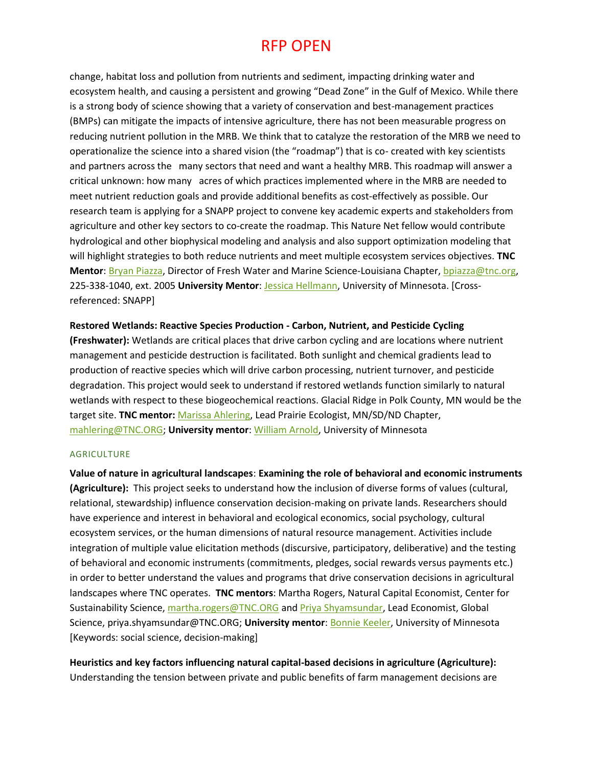change, habitat loss and pollution from nutrients and sediment, impacting drinking water and ecosystem health, and causing a persistent and growing "Dead Zone" in the Gulf of Mexico. While there is a strong body of science showing that a variety of conservation and best-management practices (BMPs) can mitigate the impacts of intensive agriculture, there has not been measurable progress on reducing nutrient pollution in the MRB. We think that to catalyze the restoration of the MRB we need to operationalize the science into a shared vision (the "roadmap") that is co- created with key scientists and partners across the many sectors that need and want a healthy MRB. This roadmap will answer a critical unknown: how many acres of which practices implemented where in the MRB are needed to meet nutrient reduction goals and provide additional benefits as cost-effectively as possible. Our research team is applying for a SNAPP project to convene key academic experts and stakeholders from agriculture and other key sectors to co-create the roadmap. This Nature Net fellow would contribute hydrological and other biophysical modeling and analysis and also support optimization modeling that will highlight strategies to both reduce nutrients and meet multiple ecosystem services objectives. **TNC Mentor**: [Bryan Piazza,](https://www.nature.org/science-in-action/our-scientists/bryan-p-piazza.xml) Director of Fresh Water and Marine Science-Louisiana Chapter[, bpiazza@tnc.org,](mailto:bpiazza@tnc.org) 225-338-1040, ext. 2005 **University Mentor**: [Jessica Hellmann,](http://environment.umn.edu/staff/jessica-hellmann/) University of Minnesota. [Crossreferenced: SNAPP]

### **Restored Wetlands: Reactive Species Production - Carbon, Nutrient, and Pesticide Cycling**

**(Freshwater):** Wetlands are critical places that drive carbon cycling and are locations where nutrient management and pesticide destruction is facilitated. Both sunlight and chemical gradients lead to production of reactive species which will drive carbon processing, nutrient turnover, and pesticide degradation. This project would seek to understand if restored wetlands function similarly to natural wetlands with respect to these biogeochemical reactions. Glacial Ridge in Polk County, MN would be the target site. **TNC mentor:** [Marissa Ahlering,](https://protect-us.mimecast.com/s/3ssmCYEYZ6IkO5ypfMXWFa?domain=nature.org) Lead Prairie Ecologist, MN/SD/ND Chapter, [mahlering@TNC.ORG;](mailto:mahlering@TNC.ORG) **University mentor**: [William Arnold,](https://protect-us.mimecast.com/s/_S_JCZ6Gg4cP2zW8hP11mV?domain=cege.umn.edu) University of Minnesota

#### AGRICULTURE

**Value of nature in agricultural landscapes**: **Examining the role of behavioral and economic instruments (Agriculture):** This project seeks to understand how the inclusion of diverse forms of values (cultural, relational, stewardship) influence conservation decision-making on private lands. Researchers should have experience and interest in behavioral and ecological economics, social psychology, cultural ecosystem services, or the human dimensions of natural resource management. Activities include integration of multiple value elicitation methods (discursive, participatory, deliberative) and the testing of behavioral and economic instruments (commitments, pledges, social rewards versus payments etc.) in order to better understand the values and programs that drive conservation decisions in agricultural landscapes where TNC operates. **TNC mentors**: Martha Rogers, Natural Capital Economist, Center for Sustainability Science, [martha.rogers@TNC.ORG](mailto:martha.rogers@TNC.ORG) and [Priya Shyamsundar,](https://www.nature.org/science-in-action/our-scientists/priya-shyamsundar.xml) Lead Economist, Global Science, priya.shyamsundar@TNC.ORG; **University mentor**: [Bonnie Keeler,](https://twin-cities.umn.edu/content/bonnie-keeler) University of Minnesota [Keywords: social science, decision-making]

**Heuristics and key factors influencing natural capital-based decisions in agriculture (Agriculture):** Understanding the tension between private and public benefits of farm management decisions are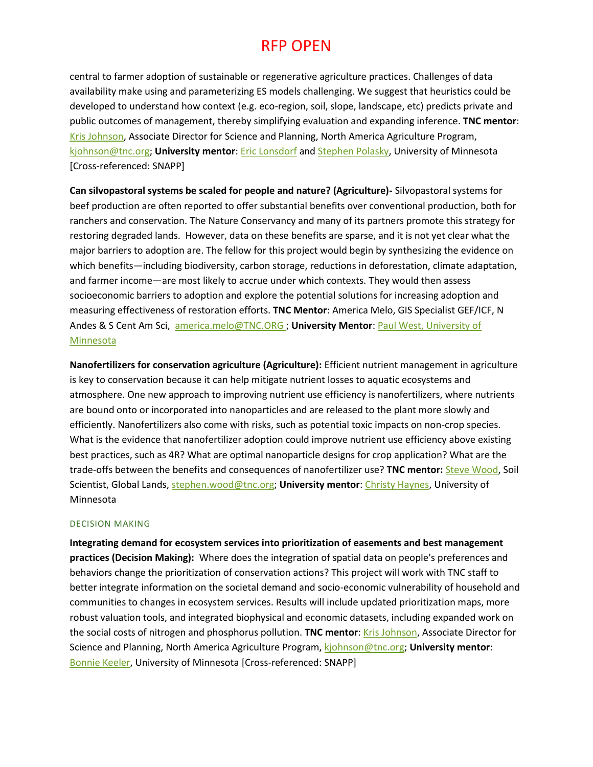central to farmer adoption of sustainable or regenerative agriculture practices. Challenges of data availability make using and parameterizing ES models challenging. We suggest that heuristics could be developed to understand how context (e.g. eco-region, soil, slope, landscape, etc) predicts private and public outcomes of management, thereby simplifying evaluation and expanding inference. **TNC mentor**: [Kris Johnson,](https://www.nature.org/ourinitiatives/urgentissues/land-conservation/global-agriculture/north-america-agriculture-kris-johnson.xml) Associate Director for Science and Planning, North America Agriculture Program, [kjohnson@tnc.org;](mailto:kjohnson@tnc.org) **University mentor**[: Eric Lonsdorf](http://environment.umn.edu/staff/eric-lonsdorf/) and [Stephen](https://cbs.umn.edu/contacts/steve-polasky) Polasky, University of Minnesota [Cross-referenced: SNAPP]

**Can silvopastoral systems be scaled for people and nature? (Agriculture)-** Silvopastoral systems for beef production are often reported to offer substantial benefits over conventional production, both for ranchers and conservation. The Nature Conservancy and many of its partners promote this strategy for restoring degraded lands. However, data on these benefits are sparse, and it is not yet clear what the major barriers to adoption are. The fellow for this project would begin by synthesizing the evidence on which benefits—including biodiversity, carbon storage, reductions in deforestation, climate adaptation, and farmer income—are most likely to accrue under which contexts. They would then assess socioeconomic barriers to adoption and explore the potential solutions for increasing adoption and measuring effectiveness of restoration efforts. **TNC Mentor**: America Melo, GIS Specialist GEF/ICF, N Andes & S Cent Am Sci, [america.melo@TNC.ORG](mailto:%3Camerica.melo@TNC.ORG) ; **University Mentor**: [Paul West,](http://environment.umn.edu/staff/paul-west/) University of Minnesota

**Nanofertilizers for conservation agriculture (Agriculture):** Efficient nutrient management in agriculture is key to conservation because it can help mitigate nutrient losses to aquatic ecosystems and atmosphere. One new approach to improving nutrient use efficiency is nanofertilizers, where nutrients are bound onto or incorporated into nanoparticles and are released to the plant more slowly and efficiently. Nanofertilizers also come with risks, such as potential toxic impacts on non-crop species. What is the evidence that nanofertilizer adoption could improve nutrient use efficiency above existing best practices, such as 4R? What are optimal nanoparticle designs for crop application? What are the trade-offs between the benefits and consequences of nanofertilizer use? **TNC mentor:** [Steve Wood,](https://www.nature.org/science-in-action/our-scientists/stephen-wood.xml) Soil Scientist, Global Lands, [stephen.wood@tnc.org;](mailto:stephen.wood@tnc.org) **University mentor**: [Christy Haynes,](https://chem.umn.edu/profiles/christy-haynes) University of Minnesota

### DECISION MAKING

**Integrating demand for ecosystem services into prioritization of easements and best management practices (Decision Making):** Where does the integration of spatial data on people's preferences and behaviors change the prioritization of conservation actions? This project will work with TNC staff to better integrate information on the societal demand and socio-economic vulnerability of household and communities to changes in ecosystem services. Results will include updated prioritization maps, more robust valuation tools, and integrated biophysical and economic datasets, including expanded work on the social costs of nitrogen and phosphorus pollution. **TNC mentor**: [Kris Johnson,](https://www.nature.org/ourinitiatives/urgentissues/land-conservation/global-agriculture/north-america-agriculture-kris-johnson.xml) Associate Director for Science and Planning, North America Agriculture Program, [kjohnson@tnc.org;](mailto:kjohnson@tnc.org) **University mentor**: [Bonnie Keeler,](https://twin-cities.umn.edu/content/bonnie-keeler) University of Minnesota [Cross-referenced: SNAPP]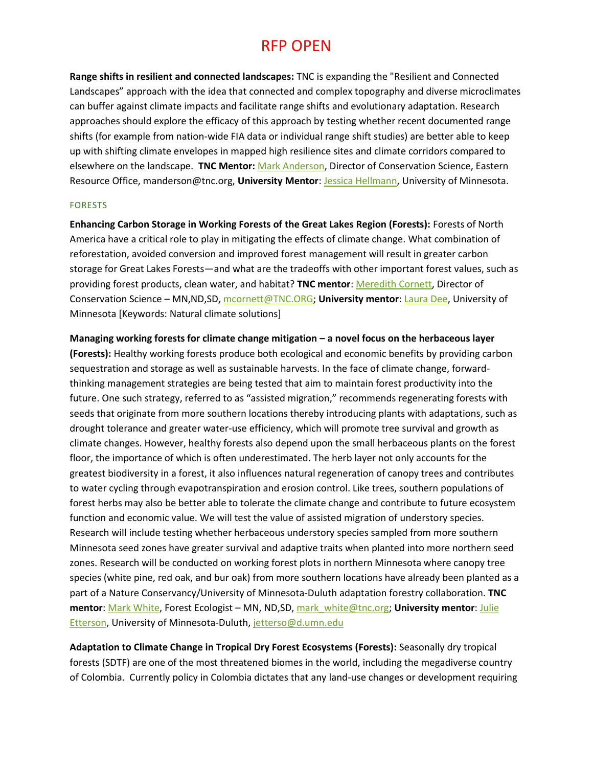**Range shifts in resilient and connected landscapes:** TNC is expanding the "Resilient and Connected Landscapes" approach with the idea that connected and complex topography and diverse microclimates can buffer against climate impacts and facilitate range shifts and evolutionary adaptation. Research approaches should explore the efficacy of this approach by testing whether recent documented range shifts (for example from nation-wide FIA data or individual range shift studies) are better able to keep up with shifting climate envelopes in mapped high resilience sites and climate corridors compared to elsewhere on the landscape. **TNC Mentor:** [Mark Anderson,](https://www.conservationgateway.org/ConservationByGeography/NorthAmerica/UnitedStates/edc/who/Pages/default.aspx) Director of Conservation Science, Eastern Resource Office, manderson@tnc.org, **University Mentor**[: Jessica Hellmann,](http://environment.umn.edu/staff/jessica-hellmann/) University of Minnesota.

#### FORESTS

**Enhancing Carbon Storage in Working Forests of the Great Lakes Region (Forests):** Forests of North America have a critical role to play in mitigating the effects of climate change. What combination of reforestation, avoided conversion and improved forest management will result in greater carbon storage for Great Lakes Forests—and what are the tradeoffs with other important forest values, such as providing forest products, clean water, and habitat? **TNC mentor**[: Meredith Cornett,](https://www.nature.org/ourinitiatives/regions/northamerica/unitedstates/minnesota/howwework/meredith-cornett-enen.xml) Director of Conservation Science – MN,ND,SD[, mcornett@TNC.ORG;](mailto:mcornett@TNC.ORG) **University mentor**: [Laura Dee,](http://environment.umn.edu/staff/laura-dee/) University of Minnesota [Keywords: Natural climate solutions]

### **Managing working forests for climate change mitigation – a novel focus on the herbaceous layer**

**(Forests):** Healthy working forests produce both ecological and economic benefits by providing carbon sequestration and storage as well as sustainable harvests. In the face of climate change, forwardthinking management strategies are being tested that aim to maintain forest productivity into the future. One such strategy, referred to as "assisted migration," recommends regenerating forests with seeds that originate from more southern locations thereby introducing plants with adaptations, such as drought tolerance and greater water-use efficiency, which will promote tree survival and growth as climate changes. However, healthy forests also depend upon the small herbaceous plants on the forest floor, the importance of which is often underestimated. The herb layer not only accounts for the greatest biodiversity in a forest, it also influences natural regeneration of canopy trees and contributes to water cycling through evapotranspiration and erosion control. Like trees, southern populations of forest herbs may also be better able to tolerate the climate change and contribute to future ecosystem function and economic value. We will test the value of assisted migration of understory species. Research will include testing whether herbaceous understory species sampled from more southern Minnesota seed zones have greater survival and adaptive traits when planted into more northern seed zones. Research will be conducted on working forest plots in northern Minnesota where canopy tree species (white pine, red oak, and bur oak) from more southern locations have already been planted as a part of a Nature Conservancy/University of Minnesota-Duluth adaptation forestry collaboration. **TNC mentor**[: Mark White,](https://www.nature.org/ourinitiatives/regions/northamerica/unitedstates/minnesota/howwework/mark-white-enen.xml) Forest Ecologist – MN, ND,SD, [mark\\_white@tnc.org;](mailto:mark_white@tnc.org) **University mentor**[: Julie](https://scse.d.umn.edu/biology-department/faculty-staff/dr-julie-etterson)  [Etterson,](https://scse.d.umn.edu/biology-department/faculty-staff/dr-julie-etterson) University of Minnesota-Duluth[, jetterso@d.umn.edu](mailto:jetterso@d.umn.edu)

**Adaptation to Climate Change in Tropical Dry Forest Ecosystems (Forests):** Seasonally dry tropical forests (SDTF) are one of the most threatened biomes in the world, including the megadiverse country of Colombia. Currently policy in Colombia dictates that any land-use changes or development requiring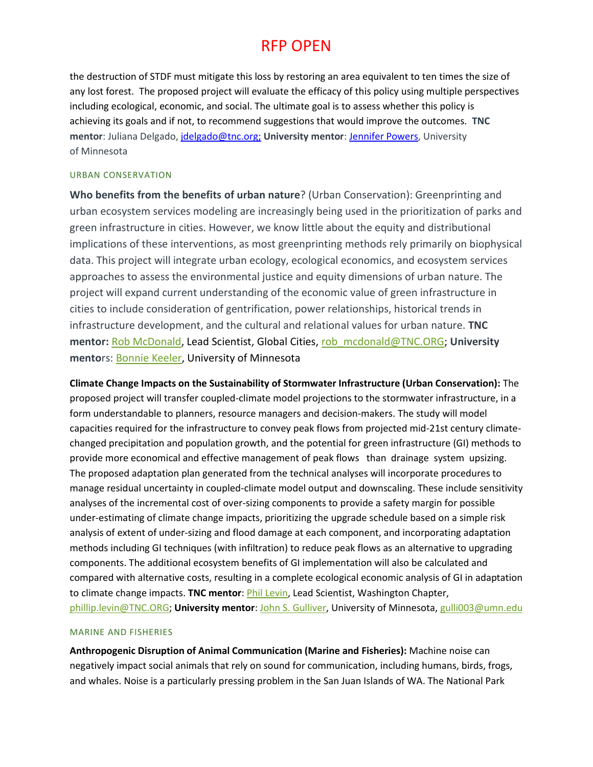the destruction of STDF must mitigate this loss by restoring an area equivalent to ten times the size of any lost forest. The proposed project will evaluate the efficacy of this policy using multiple perspectives including ecological, economic, and social. The ultimate goal is to assess whether this policy is achieving its goals and if not, to recommend suggestions that would improve the outcomes. **TNC mentor**: Juliana Delgado, [jdelgado@tnc.org;](mailto:jdelgado@tnc.org) **University mentor**: [Jennifer](https://cbs.umn.edu/contacts/jennifer-s-powers) Powers, University of Minnesota

### URBAN CONSERVATION

**Who benefits from the benefits of urban nature**? (Urban Conservation): Greenprinting and urban ecosystem services modeling are increasingly being used in the prioritization of parks and green infrastructure in cities. However, we know little about the equity and distributional implications of these interventions, as most greenprinting methods rely primarily on biophysical data. This project will integrate urban ecology, ecological economics, and ecosystem services approaches to assess the environmental justice and equity dimensions of urban nature. The project will expand current understanding of the economic value of green infrastructure in cities to include consideration of gentrification, power relationships, historical trends in infrastructure development, and the cultural and relational values for urban nature. **TNC mentor:** [Rob McDonald,](https://protect-us.mimecast.com/s/WE-HCPNKG1IvM18OHjrxgN?domain=nature.org) Lead Scientist, Global Cities, [rob\\_mcdonald@TNC.ORG;](mailto:rob_mcdonald@TNC.ORG) **University mento**rs: [Bonnie Keeler,](https://protect-us.mimecast.com/s/wi5FCQWKX1UBr1M8FrPvXT?domain=twin-cities.umn.edu) University of Minnesota

**Climate Change Impacts on the Sustainability of Stormwater Infrastructure (Urban Conservation):** The proposed project will transfer coupled-climate model projections to the stormwater infrastructure, in a form understandable to planners, resource managers and decision-makers. The study will model capacities required for the infrastructure to convey peak flows from projected mid-21st century climatechanged precipitation and population growth, and the potential for green infrastructure (GI) methods to provide more economical and effective management of peak flows than drainage system upsizing. The proposed adaptation plan generated from the technical analyses will incorporate procedures to manage residual uncertainty in coupled-climate model output and downscaling. These include sensitivity analyses of the incremental cost of over-sizing components to provide a safety margin for possible under-estimating of climate change impacts, prioritizing the upgrade schedule based on a simple risk analysis of extent of under-sizing and flood damage at each component, and incorporating adaptation methods including GI techniques (with infiltration) to reduce peak flows as an alternative to upgrading components. The additional ecosystem benefits of GI implementation will also be calculated and compared with alternative costs, resulting in a complete ecological economic analysis of GI in adaptation to climate change impacts. **TNC mentor**: *Phil Levin*, Lead Scientist, Washington Chapter, [phillip.levin@TNC.ORG;](mailto:phillip.levin@TNC.ORG) **University mentor**: John S. Gulliver, University of Minnesota[, gulli003@umn.edu](mailto:gulli003@umn.edu)

### MARINE AND FISHERIES

**Anthropogenic Disruption of Animal Communication (Marine and Fisheries):** Machine noise can negatively impact social animals that rely on sound for communication, including humans, birds, frogs, and whales. Noise is a particularly pressing problem in the San Juan Islands of WA. The National Park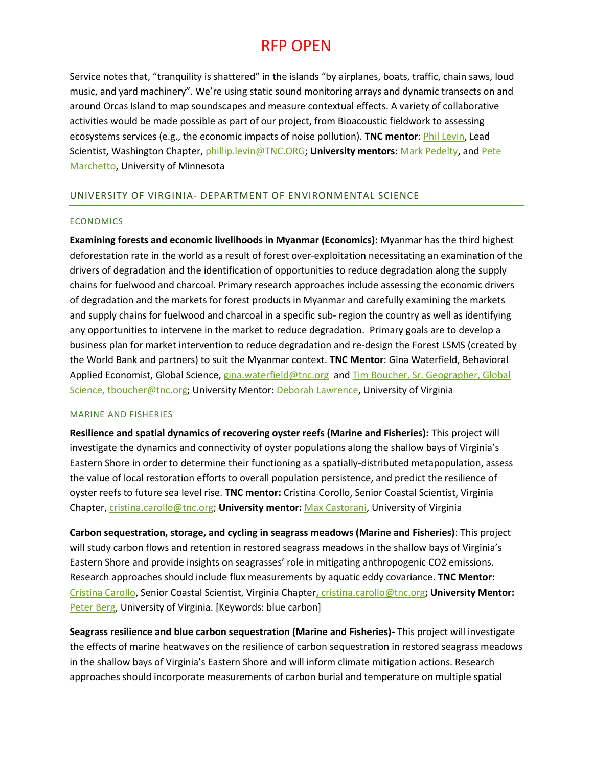Service notes that, "tranquility is shattered" in the islands "by airplanes, boats, traffic, chain saws, loud music, and yard machinery". We're using static sound monitoring arrays and dynamic transects on and around Orcas Island to map soundscapes and measure contextual effects. A variety of collaborative activities would be made possible as part of our project, from Bioacoustic fieldwork to assessing ecosystems services (e.g., the economic impacts of noise pollution). **TNC mentor**: [Phil Levin,](http://www.washingtonnature.org/fieldnotes/phil-levin-the-nature-conservancy-bio-lead-scientist) Lead Scientist, Washington Chapter, [phillip.levin@TNC.ORG;](mailto:phillip.levin@TNC.ORG) **University mentors**: [Mark Pedelty,](https://cla.umn.edu/about/directory/profile/pedeltmh) an[d Pete](https://bbe.umn.edu/directory/faculty/petermarchetto)  [Marchetto,](https://bbe.umn.edu/directory/faculty/petermarchetto) University of Minnesota

### UNIVERSITY OF VIRGINIA- DEPARTMENT OF ENVIRONMENTAL SCIENCE

### ECONOMICS

**Examining forests and economic livelihoods in Myanmar (Economics):** Myanmar has the third highest deforestation rate in the world as a result of forest over-exploitation necessitating an examination of the drivers of degradation and the identification of opportunities to reduce degradation along the supply chains for fuelwood and charcoal. Primary research approaches include assessing the economic drivers of degradation and the markets for forest products in Myanmar and carefully examining the markets and supply chains for fuelwood and charcoal in a specific sub- region the country as well as identifying any opportunities to intervene in the market to reduce degradation. Primary goals are to develop a business plan for market intervention to reduce degradation and re-design the Forest LSMS (created by the World Bank and partners) to suit the Myanmar context. **TNC Mentor**: Gina Waterfield, Behavioral Applied Economist, Global Science, [gina.waterfield@tnc.org](mailto:gina.waterfield@tnc.org) and [Tim Boucher,](https://www.nature.org/science-in-action/our-scientists/tim-boucher.xml) Sr. Geographer, Global Science, [tboucher@tnc.org;](mailto:tboucher@tnc.org) University Mentor[: Deborah Lawrence,](https://www.evsc.virginia.edu/lawrence-deborah2/) University of Virginia

#### MARINE AND FISHERIES

**Resilience and spatial dynamics of recovering oyster reefs (Marine and Fisheries):** This project will investigate the dynamics and connectivity of oyster populations along the shallow bays of Virginia's Eastern Shore in order to determine their functioning as a spatially-distributed metapopulation, assess the value of local restoration efforts to overall population persistence, and predict the resilience of oyster reefs to future sea level rise. **TNC mentor:** Cristina Corollo, Senior Coastal Scientist, Virginia Chapter, [cristina.carollo@tnc.org;](mailto:%20cristina.carollo@tnc.org) **University mentor:** [Max Castorani,](https://www.evsc.virginia.edu/castorani-max-c-n/) University of Virginia

**Carbon sequestration, storage, and cycling in seagrass meadows (Marine and Fisheries)**: This project will study carbon flows and retention in restored seagrass meadows in the shallow bays of Virginia's Eastern Shore and provide insights on seagrasses' role in mitigating anthropogenic CO2 emissions. Research approaches should include flux measurements by aquatic eddy covariance. **TNC Mentor:**  [Cristina Carollo,](https://www.nature.org/ourinitiatives/regions/northamerica/unitedstates/virginia/placesweprotect/vcr-staff-bios.xml) Senior Coastal Scientist, Virginia Chapter**,** [cristina.carollo@tnc.org](mailto:%20cristina.carollo@tnc.org)**; University Mentor:**  [Peter Berg,](https://www.evsc.virginia.edu/berg-peter/) University of Virginia. [Keywords: blue carbon]

**Seagrass resilience and blue carbon sequestration (Marine and Fisheries)-** This project will investigate the effects of marine heatwaves on the resilience of carbon sequestration in restored seagrass meadows in the shallow bays of Virginia's Eastern Shore and will inform climate mitigation actions. Research approaches should incorporate measurements of carbon burial and temperature on multiple spatial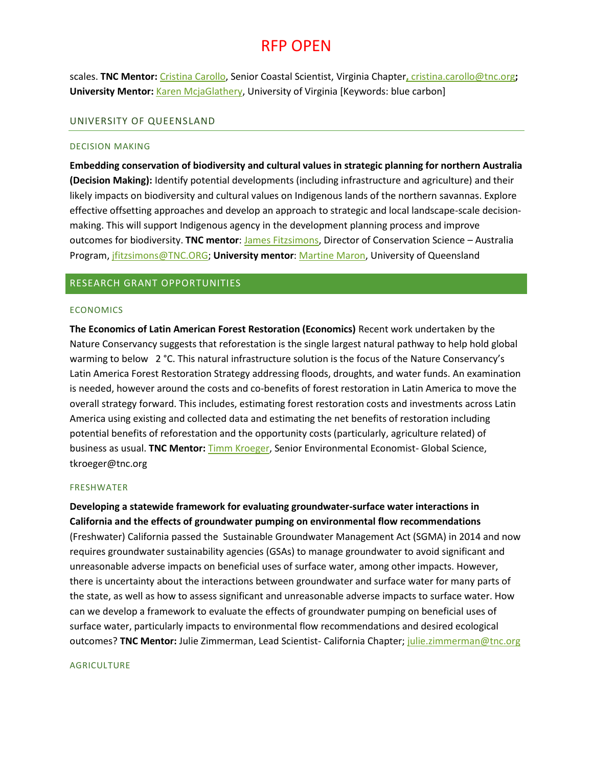scales. **TNC Mentor:** [Cristina Carollo,](https://www.nature.org/ourinitiatives/regions/northamerica/unitedstates/virginia/placesweprotect/vcr-staff-bios.xml) Senior Coastal Scientist, Virginia Chapter**,** [cristina.carollo@tnc.org](mailto:%20cristina.carollo@tnc.org)**; University Mentor:** [Karen McjaGlathery,](https://www.evsc.virginia.edu/mcglathery-karen/) University of Virginia [Keywords: blue carbon]

### UNIVERSITY OF QUEENSLAND

#### DECISION MAKING

**Embedding conservation of biodiversity and cultural values in strategic planning for northern Australia (Decision Making):** Identify potential developments (including infrastructure and agriculture) and their likely impacts on biodiversity and cultural values on Indigenous lands of the northern savannas. Explore effective offsetting approaches and develop an approach to strategic and local landscape-scale decisionmaking. This will support Indigenous agency in the development planning process and improve outcomes for biodiversity. **TNC mentor**: [James Fitzsimons,](https://www.nature.org/science-in-action/our-scientists/james-fitzsimons.xml) Director of Conservation Science – Australia Program[, jfitzsimons@TNC.ORG;](mailto:jfitzsimons@TNC.ORG) **University mentor**[: Martine Maron,](https://researchers.uq.edu.au/researcher/2024) University of Queensland

## RESEARCH GRANT OPPORTUNITIES

### **ECONOMICS**

**The Economics of Latin American Forest Restoration (Economics)** Recent work undertaken by the Nature Conservancy suggests that reforestation is the single largest natural pathway to help hold global warming to below 2 °C. This natural infrastructure solution is the focus of the Nature Conservancy's Latin America Forest Restoration Strategy addressing floods, droughts, and water funds. An examination is needed, however around the costs and co-benefits of forest restoration in Latin America to move the overall strategy forward. This includes, estimating forest restoration costs and investments across Latin America using existing and collected data and estimating the net benefits of restoration including potential benefits of reforestation and the opportunity costs (particularly, agriculture related) of business as usual. **TNC Mentor:** [Timm Kroeger,](https://www.nature.org/science-in-action/our-scientists/timm-kroeger.xml) Senior Environmental Economist- Global Science, tkroeger@tnc.org

#### FRESHWATER

**Developing a statewide framework for evaluating groundwater-surface water interactions in California and the effects of groundwater pumping on environmental flow recommendations** (Freshwater) California passed the Sustainable Groundwater Management Act (SGMA) in 2014 and now requires groundwater sustainability agencies (GSAs) to manage groundwater to avoid significant and unreasonable adverse impacts on beneficial uses of surface water, among other impacts. However, there is uncertainty about the interactions between groundwater and surface water for many parts of the state, as well as how to assess significant and unreasonable adverse impacts to surface water. How can we develop a framework to evaluate the effects of groundwater pumping on beneficial uses of surface water, particularly impacts to environmental flow recommendations and desired ecological outcomes? **TNC Mentor:** Julie Zimmerman, Lead Scientist- California Chapter[; julie.zimmerman@tnc.org](mailto:julie.zimmerman@tnc.org)

#### **AGRICULTURE**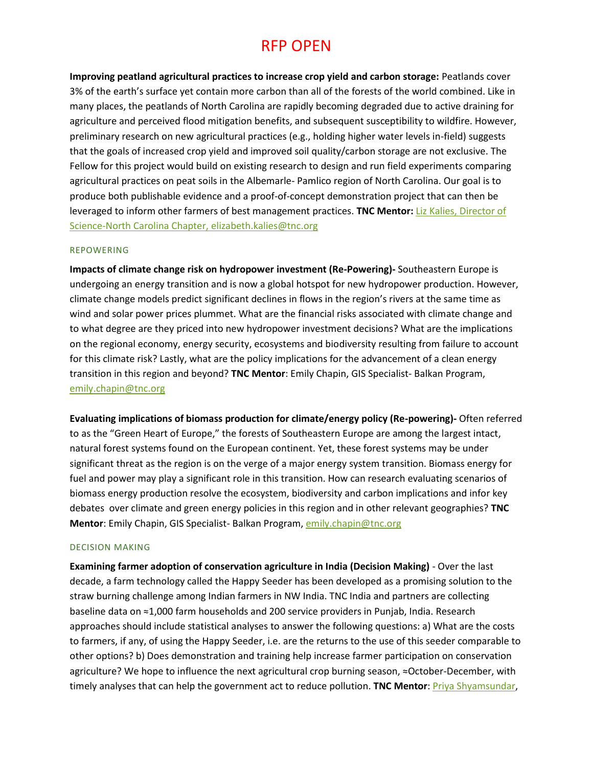**Improving peatland agricultural practices to increase crop yield and carbon storage:** Peatlands cover 3% of the earth's surface yet contain more carbon than all of the forests of the world combined. Like in many places, the peatlands of North Carolina are rapidly becoming degraded due to active draining for agriculture and perceived flood mitigation benefits, and subsequent susceptibility to wildfire. However, preliminary research on new agricultural practices (e.g., holding higher water levels in-field) suggests that the goals of increased crop yield and improved soil quality/carbon storage are not exclusive. The Fellow for this project would build on existing research to design and run field experiments comparing agricultural practices on peat soils in the Albemarle- Pamlico region of North Carolina. Our goal is to produce both publishable evidence and a proof-of-concept demonstration project that can then be leveraged to inform other farmers of best management practices. **TNC Mentor:** [Liz Kalies,](https://www.nature.org/science-in-action/leading-with-science/elizabeth-kalies.xml) Director of Science-North Carolina Chapter, [elizabeth.kalies@tnc.org](mailto:elizabeth.kalies@tnc.org)

### REPOWERING

**Impacts of climate change risk on hydropower investment (Re-Powering)-** Southeastern Europe is undergoing an energy transition and is now a global hotspot for new hydropower production. However, climate change models predict significant declines in flows in the region's rivers at the same time as wind and solar power prices plummet. What are the financial risks associated with climate change and to what degree are they priced into new hydropower investment decisions? What are the implications on the regional economy, energy security, ecosystems and biodiversity resulting from failure to account for this climate risk? Lastly, what are the policy implications for the advancement of a clean energy transition in this region and beyond? **TNC Mentor**: Emily Chapin, GIS Specialist- Balkan Program, [emily.chapin@tnc.org](mailto:emily.chapin@tnc.org)

**Evaluating implications of biomass production for climate/energy policy (Re-powering)-** Often referred to as the "Green Heart of Europe," the forests of Southeastern Europe are among the largest intact, natural forest systems found on the European continent. Yet, these forest systems may be under significant threat as the region is on the verge of a major energy system transition. Biomass energy for fuel and power may play a significant role in this transition. How can research evaluating scenarios of biomass energy production resolve the ecosystem, biodiversity and carbon implications and infor key debates over climate and green energy policies in this region and in other relevant geographies? **TNC Mentor**: Emily Chapin, GIS Specialist- Balkan Program, [emily.chapin@tnc.org](mailto:emily.chapin@tnc.org)

#### DECISION MAKING

**Examining farmer adoption of conservation agriculture in India (Decision Making)** - Over the last decade, a farm technology called the Happy Seeder has been developed as a promising solution to the straw burning challenge among Indian farmers in NW India. TNC India and partners are collecting baseline data on ≈1,000 farm households and 200 service providers in Punjab, India. Research approaches should include statistical analyses to answer the following questions: a) What are the costs to farmers, if any, of using the Happy Seeder, i.e. are the returns to the use of this seeder comparable to other options? b) Does demonstration and training help increase farmer participation on conservation agriculture? We hope to influence the next agricultural crop burning season, ≈October-December, with timely analyses that can help the government act to reduce pollution. **TNC Mentor**: [Priya Shyamsundar,](https://www.nature.org/science-in-action/our-scientists/priya-shyamsundar.xml)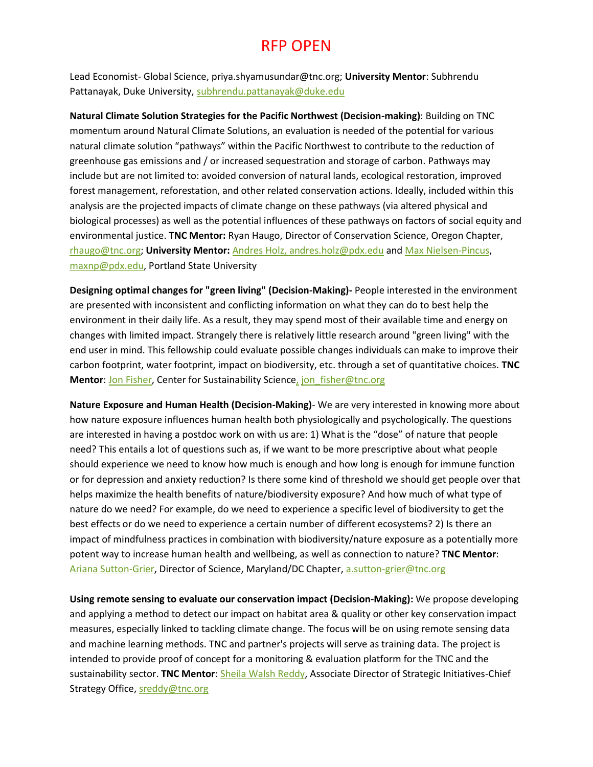Lead Economist- Global Science, priya.shyamusundar@tnc.org; **University Mentor**: Subhrendu Pattanayak, Duke University, [subhrendu.pattanayak@duke.edu](mailto:subhrendu.pattanayak@duke.edu)

**Natural Climate Solution Strategies for the Pacific Northwest (Decision-making)**: Building on TNC momentum around Natural Climate Solutions, an evaluation is needed of the potential for various natural climate solution "pathways" within the Pacific Northwest to contribute to the reduction of greenhouse gas emissions and / or increased sequestration and storage of carbon. Pathways may include but are not limited to: avoided conversion of natural lands, ecological restoration, improved forest management, reforestation, and other related conservation actions. Ideally, included within this analysis are the projected impacts of climate change on these pathways (via altered physical and biological processes) as well as the potential influences of these pathways on factors of social equity and environmental justice. **TNC Mentor:** Ryan Haugo, Director of Conservation Science, Oregon Chapter, [rhaugo@tnc.org;](mailto:rhaugo@tnc.org) **University Mentor:** [Andres Holz,](https://www.pdx.edu/geography/andres-holz) [andres.holz@pdx.edu](mailto:andres.holz@pdx.edu) and [Max Nielsen-Pincus,](https://www.pdx.edu/esm/dr-max-nielsen-pincus) [maxnp@pdx.edu,](mailto:maxnp@pdx.edu) Portland State University

**Designing optimal changes for "green living" (Decision-Making)-** People interested in the environment are presented with inconsistent and conflicting information on what they can do to best help the environment in their daily life. As a result, they may spend most of their available time and energy on changes with limited impact. Strangely there is relatively little research around "green living" with the end user in mind. This fellowship could evaluate possible changes individuals can make to improve their carbon footprint, water footprint, impact on biodiversity, etc. through a set of quantitative choices. **TNC Mentor: [Jon Fisher,](https://www.nature.org/science-in-action/our-scientists/jon-fisher.xml) Center for Sustainability Science, jon fisher@tnc.org** 

**Nature Exposure and Human Health (Decision-Making)**- We are very interested in knowing more about how nature exposure influences human health both physiologically and psychologically. The questions are interested in having a postdoc work on with us are: 1) What is the "dose" of nature that people need? This entails a lot of questions such as, if we want to be more prescriptive about what people should experience we need to know how much is enough and how long is enough for immune function or for depression and anxiety reduction? Is there some kind of threshold we should get people over that helps maximize the health benefits of nature/biodiversity exposure? And how much of what type of nature do we need? For example, do we need to experience a specific level of biodiversity to get the best effects or do we need to experience a certain number of different ecosystems? 2) Is there an impact of mindfulness practices in combination with biodiversity/nature exposure as a potentially more potent way to increase human health and wellbeing, as well as connection to nature? **TNC Mentor**: [Ariana Sutton-Grier,](https://www.nature.org/ourinitiatives/regions/northamerica/unitedstates/maryland_dc/experts/ariana-sutton-grier-qanda.xml) Director of Science, Maryland/DC Chapter, [a.sutton-grier@tnc.org](mailto:a.sutton-grier@tnc.org)

**Using remote sensing to evaluate our conservation impact (Decision-Making):** We propose developing and applying a method to detect our impact on habitat area & quality or other key conservation impact measures, especially linked to tackling climate change. The focus will be on using remote sensing data and machine learning methods. TNC and partner's projects will serve as training data. The project is intended to provide proof of concept for a monitoring & evaluation platform for the TNC and the sustainability sector. **TNC Mentor**[: Sheila Walsh Reddy,](https://www.nature.org/science-in-action/our-scientists/sheila-reddy.xml) Associate Director of Strategic Initiatives-Chief Strategy Office[, sreddy@tnc.org](mailto:sreddy@tnc.org)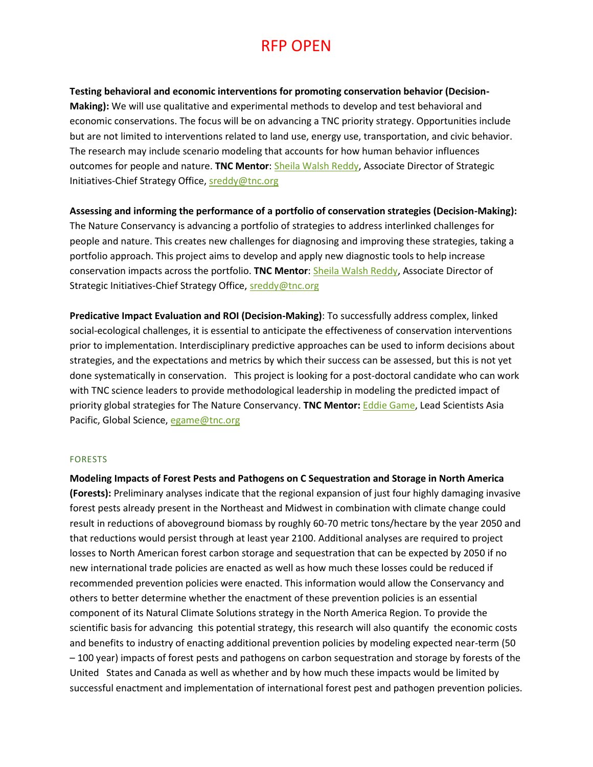## **Testing behavioral and economic interventions for promoting conservation behavior (Decision-**

**Making):** We will use qualitative and experimental methods to develop and test behavioral and economic conservations. The focus will be on advancing a TNC priority strategy. Opportunities include but are not limited to interventions related to land use, energy use, transportation, and civic behavior. The research may include scenario modeling that accounts for how human behavior influences outcomes for people and nature. **TNC Mentor**: [Sheila Walsh Reddy,](https://www.nature.org/science-in-action/our-scientists/sheila-reddy.xml) Associate Director of Strategic Initiatives-Chief Strategy Office, [sreddy@tnc.org](mailto:sreddy@tnc.org)

### **Assessing and informing the performance of a portfolio of conservation strategies (Decision-Making):**

The Nature Conservancy is advancing a portfolio of strategies to address interlinked challenges for people and nature. This creates new challenges for diagnosing and improving these strategies, taking a portfolio approach. This project aims to develop and apply new diagnostic tools to help increase conservation impacts across the portfolio. **TNC Mentor**[: Sheila Walsh Reddy,](https://www.nature.org/science-in-action/our-scientists/sheila-reddy.xml) Associate Director of Strategic Initiatives-Chief Strategy Office[, sreddy@tnc.org](mailto:sreddy@tnc.org)

**Predicative Impact Evaluation and ROI (Decision-Making)**: To successfully address complex, linked social-ecological challenges, it is essential to anticipate the effectiveness of conservation interventions prior to implementation. Interdisciplinary predictive approaches can be used to inform decisions about strategies, and the expectations and metrics by which their success can be assessed, but this is not yet done systematically in conservation. This project is looking for a post-doctoral candidate who can work with TNC science leaders to provide methodological leadership in modeling the predicted impact of priority global strategies for The Nature Conservancy. **TNC Mentor:** [Eddie Game,](https://www.nature.org/science-in-action/our-scientists/eddie-game.xml) Lead Scientists Asia Pacific, Global Science, [egame@tnc.org](mailto:egame@tnc.org)

### FORESTS

**Modeling Impacts of Forest Pests and Pathogens on C Sequestration and Storage in North America (Forests):** Preliminary analyses indicate that the regional expansion of just four highly damaging invasive forest pests already present in the Northeast and Midwest in combination with climate change could result in reductions of aboveground biomass by roughly 60-70 metric tons/hectare by the year 2050 and that reductions would persist through at least year 2100. Additional analyses are required to project losses to North American forest carbon storage and sequestration that can be expected by 2050 if no new international trade policies are enacted as well as how much these losses could be reduced if recommended prevention policies were enacted. This information would allow the Conservancy and others to better determine whether the enactment of these prevention policies is an essential component of its Natural Climate Solutions strategy in the North America Region. To provide the scientific basis for advancing this potential strategy, this research will also quantify the economic costs and benefits to industry of enacting additional prevention policies by modeling expected near-term (50 – 100 year) impacts of forest pests and pathogens on carbon sequestration and storage by forests of the United States and Canada as well as whether and by how much these impacts would be limited by successful enactment and implementation of international forest pest and pathogen prevention policies.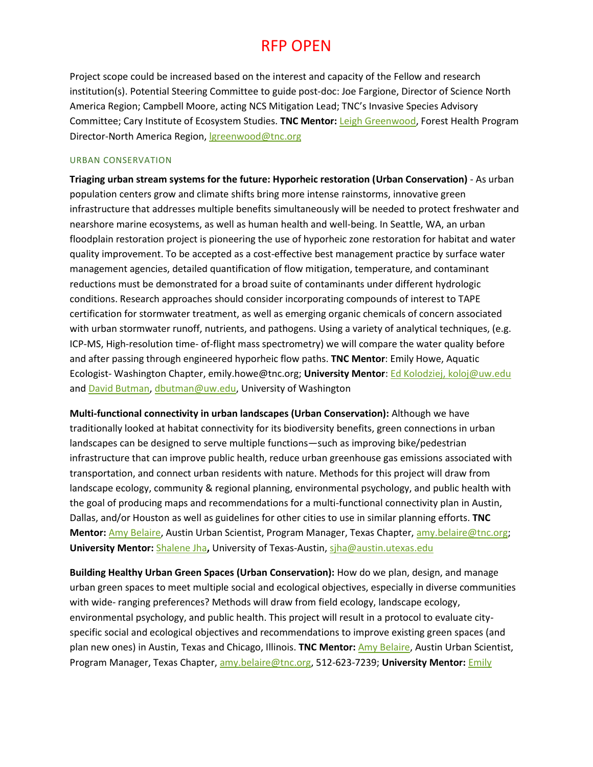Project scope could be increased based on the interest and capacity of the Fellow and research institution(s). Potential Steering Committee to guide post-doc: Joe Fargione, Director of Science North America Region; Campbell Moore, acting NCS Mitigation Lead; TNC's Invasive Species Advisory Committee; Cary Institute of Ecosystem Studies. **TNC Mentor:** [Leigh Greenwood,](https://blog.nature.org/science/profiles/leigh-greenwood/) Forest Health Program Director-North America Region, Igreenwood@tnc.org

### URBAN CONSERVATION

**Triaging urban stream systems for the future: Hyporheic restoration (Urban Conservation)** - As urban population centers grow and climate shifts bring more intense rainstorms, innovative green infrastructure that addresses multiple benefits simultaneously will be needed to protect freshwater and nearshore marine ecosystems, as well as human health and well-being. In Seattle, WA, an urban floodplain restoration project is pioneering the use of hyporheic zone restoration for habitat and water quality improvement. To be accepted as a cost-effective best management practice by surface water management agencies, detailed quantification of flow mitigation, temperature, and contaminant reductions must be demonstrated for a broad suite of contaminants under different hydrologic conditions. Research approaches should consider incorporating compounds of interest to TAPE certification for stormwater treatment, as well as emerging organic chemicals of concern associated with urban stormwater runoff, nutrients, and pathogens. Using a variety of analytical techniques, (e.g. ICP-MS, High-resolution time- of-flight mass spectrometry) we will compare the water quality before and after passing through engineered hyporheic flow paths. **TNC Mentor**: Emily Howe, Aquatic Ecologist- Washington Chapter, emily.howe@tnc.org; **University Mentor**: [Ed Kolodziej,](https://www.ce.washington.edu/people/faculty/kolodzieje) [koloj@uw.edu](mailto:koloj@uw.edu) and [David Butman,](https://www.ce.washington.edu/people/faculty/butmand) [dbutman@uw.edu,](mailto:dbutman@uw.edu) University of Washington

**Multi-functional connectivity in urban landscapes (Urban Conservation):** Although we have traditionally looked at habitat connectivity for its biodiversity benefits, green connections in urban landscapes can be designed to serve multiple functions—such as improving bike/pedestrian infrastructure that can improve public health, reduce urban greenhouse gas emissions associated with transportation, and connect urban residents with nature. Methods for this project will draw from landscape ecology, community & regional planning, environmental psychology, and public health with the goal of producing maps and recommendations for a multi-functional connectivity plan in Austin, Dallas, and/or Houston as well as guidelines for other cities to use in similar planning efforts. **TNC Mentor:** [Amy Belaire,](https://scholar.google.com/citations?user=bcHe9WUAAAAJ&hl=en) Austin Urban Scientist, Program Manager, Texas Chapter, [amy.belaire@tnc.org;](mailto:amy.belaire@tnc.org) **University Mentor:** [Shalene Jha](https://cns.utexas.edu/directory/item/7-integrative-biology/217-jha-shalene?Itemid=349)**,** University of Texas-Austin[, sjha@austin.utexas.edu](mailto:sjha@austin.utexas.edu)

**Building Healthy Urban Green Spaces (Urban Conservation):** How do we plan, design, and manage urban green spaces to meet multiple social and ecological objectives, especially in diverse communities with wide- ranging preferences? Methods will draw from field ecology, landscape ecology, environmental psychology, and public health. This project will result in a protocol to evaluate cityspecific social and ecological objectives and recommendations to improve existing green spaces (and plan new ones) in Austin, Texas and Chicago, Illinois. **TNC Mentor:** [Amy Belaire,](https://scholar.google.com/citations?user=bcHe9WUAAAAJ&hl=en) Austin Urban Scientist, Program Manager, Texas Chapter, [amy.belaire@tnc.org,](mailto:amy.belaire@tnc.org) 512-623-7239; **University Mentor:** [Emily](https://bios.uic.edu/bios/people/faculty/emily-minor)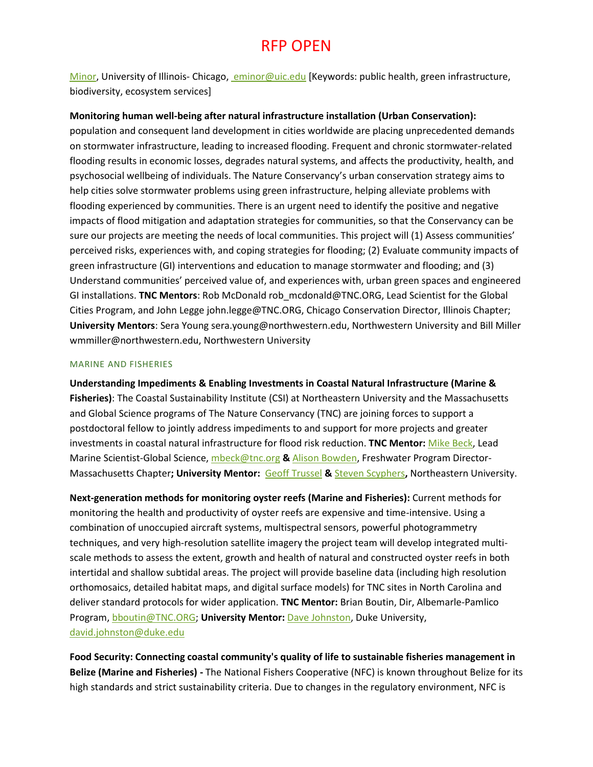[Minor,](https://bios.uic.edu/bios/people/faculty/emily-minor) University of Illinois- Chicago[, eminor@uic.edu](mailto: eminor@uic.edu) [Keywords: public health, green infrastructure, biodiversity, ecosystem services]

## **Monitoring human well-being after natural infrastructure installation (Urban Conservation):**

population and consequent land development in cities worldwide are placing unprecedented demands on stormwater infrastructure, leading to increased flooding. Frequent and chronic stormwater-related flooding results in economic losses, degrades natural systems, and affects the productivity, health, and psychosocial wellbeing of individuals. The Nature Conservancy's urban conservation strategy aims to help cities solve stormwater problems using green infrastructure, helping alleviate problems with flooding experienced by communities. There is an urgent need to identify the positive and negative impacts of flood mitigation and adaptation strategies for communities, so that the Conservancy can be sure our projects are meeting the needs of local communities. This project will (1) Assess communities' perceived risks, experiences with, and coping strategies for flooding; (2) Evaluate community impacts of green infrastructure (GI) interventions and education to manage stormwater and flooding; and (3) Understand communities' perceived value of, and experiences with, urban green spaces and engineered GI installations. **TNC Mentors**: Rob McDonald rob\_mcdonald@TNC.ORG, Lead Scientist for the Global Cities Program, and John Legge john.legge@TNC.ORG, Chicago Conservation Director, Illinois Chapter; **University Mentors**: Sera Young sera.young@northwestern.edu, Northwestern University and Bill Miller wmmiller@northwestern.edu, Northwestern University

### MARINE AND FISHERIES

**Understanding Impediments & Enabling Investments in Coastal Natural Infrastructure (Marine & Fisheries)**: The Coastal Sustainability Institute (CSI) at Northeastern University and the Massachusetts and Global Science programs of The Nature Conservancy (TNC) are joining forces to support a postdoctoral fellow to jointly address impediments to and support for more projects and greater investments in coastal natural infrastructure for flood risk reduction. **TNC Mentor:** [Mike Beck,](https://www.nature.org/science-in-action/our-scientists/our-scientists-mike-beck.xml) Lead Marine Scientist-Global Science, [mbeck@tnc.org](mailto:mbeck@tnc.org) **&** [Alison Bowden,](https://www.nature.org/ourinitiatives/regions/northamerica/unitedstates/massachusetts/newsroom/alison-bowden-freshwater-program-director-massachusetts.xml) Freshwater Program Director-Massachusetts Chapter**; University Mentor:** [Geoff Trussel](https://cos.northeastern.edu/faculty/geoffrey-trussell/) **&** [Steven Scyphers](https://cos.northeastern.edu/faculty/steven-scyphers/)**,** Northeastern University.

**Next-generation methods for monitoring oyster reefs (Marine and Fisheries):** Current methods for monitoring the health and productivity of oyster reefs are expensive and time-intensive. Using a combination of unoccupied aircraft systems, multispectral sensors, powerful photogrammetry techniques, and very high-resolution satellite imagery the project team will develop integrated multiscale methods to assess the extent, growth and health of natural and constructed oyster reefs in both intertidal and shallow subtidal areas. The project will provide baseline data (including high resolution orthomosaics, detailed habitat maps, and digital surface models) for TNC sites in North Carolina and deliver standard protocols for wider application. **TNC Mentor:** Brian Boutin, Dir, Albemarle-Pamlico Program[, bboutin@TNC.ORG;](mailto:bboutin@TNC.ORG) University Mentor: [Dave Johnston,](https://nicholas.duke.edu/marinelab/people/faculty/johnston) Duke University, [david.johnston@duke.edu](mailto:david.johnston@duke.edu)

**Food Security: Connecting coastal community's quality of life to sustainable fisheries management in Belize (Marine and Fisheries) -** The National Fishers Cooperative (NFC) is known throughout Belize for its high standards and strict sustainability criteria. Due to changes in the regulatory environment, NFC is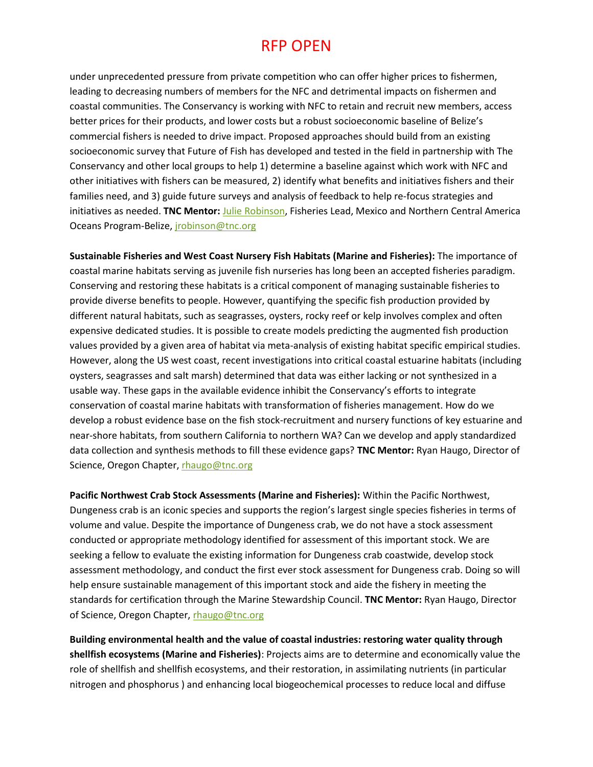under unprecedented pressure from private competition who can offer higher prices to fishermen, leading to decreasing numbers of members for the NFC and detrimental impacts on fishermen and coastal communities. The Conservancy is working with NFC to retain and recruit new members, access better prices for their products, and lower costs but a robust socioeconomic baseline of Belize's commercial fishers is needed to drive impact. Proposed approaches should build from an existing socioeconomic survey that Future of Fish has developed and tested in the field in partnership with The Conservancy and other local groups to help 1) determine a baseline against which work with NFC and other initiatives with fishers can be measured, 2) identify what benefits and initiatives fishers and their families need, and 3) guide future surveys and analysis of feedback to help re-focus strategies and initiatives as needed. **TNC Mentor:** [Julie Robinson,](https://www.nature.org/science-in-action/leading-with-science/julie-robinson.xml) Fisheries Lead, Mexico and Northern Central America Oceans Program-Belize[, jrobinson@tnc.org](mailto:jrobinson@tnc.org)

**Sustainable Fisheries and West Coast Nursery Fish Habitats (Marine and Fisheries):** The importance of coastal marine habitats serving as juvenile fish nurseries has long been an accepted fisheries paradigm. Conserving and restoring these habitats is a critical component of managing sustainable fisheries to provide diverse benefits to people. However, quantifying the specific fish production provided by different natural habitats, such as seagrasses, oysters, rocky reef or kelp involves complex and often expensive dedicated studies. It is possible to create models predicting the augmented fish production values provided by a given area of habitat via meta-analysis of existing habitat specific empirical studies. However, along the US west coast, recent investigations into critical coastal estuarine habitats (including oysters, seagrasses and salt marsh) determined that data was either lacking or not synthesized in a usable way. These gaps in the available evidence inhibit the Conservancy's efforts to integrate conservation of coastal marine habitats with transformation of fisheries management. How do we develop a robust evidence base on the fish stock-recruitment and nursery functions of key estuarine and near-shore habitats, from southern California to northern WA? Can we develop and apply standardized data collection and synthesis methods to fill these evidence gaps? **TNC Mentor:** Ryan Haugo, Director of Science, Oregon Chapter[, rhaugo@tnc.org](mailto:rhaugo@tnc.org)

**Pacific Northwest Crab Stock Assessments (Marine and Fisheries):** Within the Pacific Northwest, Dungeness crab is an iconic species and supports the region's largest single species fisheries in terms of volume and value. Despite the importance of Dungeness crab, we do not have a stock assessment conducted or appropriate methodology identified for assessment of this important stock. We are seeking a fellow to evaluate the existing information for Dungeness crab coastwide, develop stock assessment methodology, and conduct the first ever stock assessment for Dungeness crab. Doing so will help ensure sustainable management of this important stock and aide the fishery in meeting the standards for certification through the Marine Stewardship Council. **TNC Mentor:** Ryan Haugo, Director of Science, Oregon Chapter, [rhaugo@tnc.org](mailto:rhaugo@tnc.org)

**Building environmental health and the value of coastal industries: restoring water quality through shellfish ecosystems (Marine and Fisheries)**: Projects aims are to determine and economically value the role of shellfish and shellfish ecosystems, and their restoration, in assimilating nutrients (in particular nitrogen and phosphorus ) and enhancing local biogeochemical processes to reduce local and diffuse